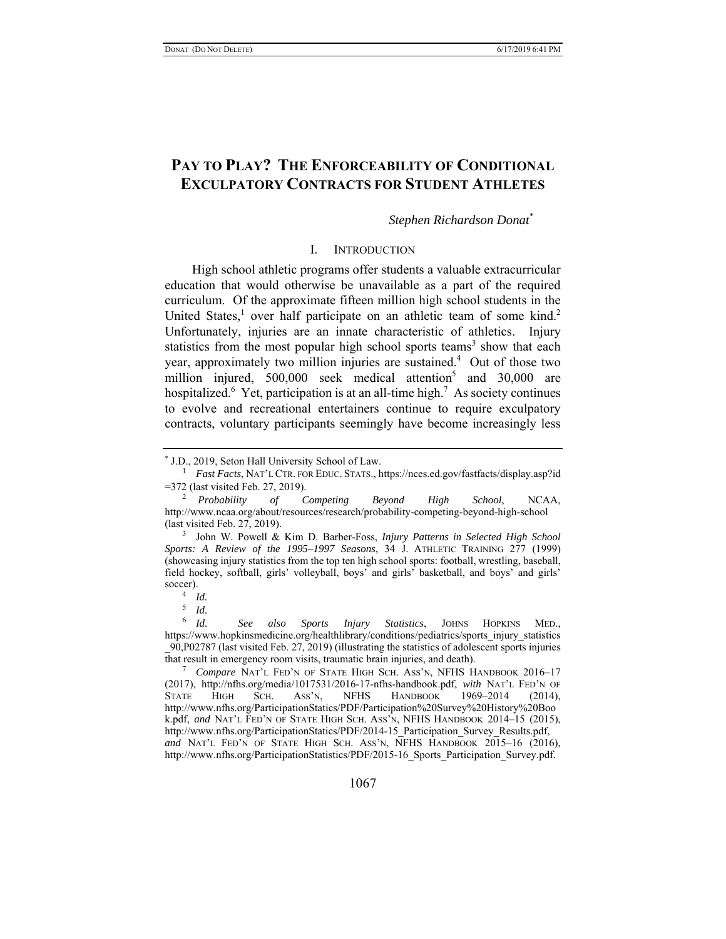# **PAY TO PLAY? THE ENFORCEABILITY OF CONDITIONAL EXCULPATORY CONTRACTS FOR STUDENT ATHLETES**

### *Stephen Richardson Donat\**

### I. INTRODUCTION

High school athletic programs offer students a valuable extracurricular education that would otherwise be unavailable as a part of the required curriculum. Of the approximate fifteen million high school students in the United States,<sup>1</sup> over half participate on an athletic team of some kind.<sup>2</sup> Unfortunately, injuries are an innate characteristic of athletics. Injury statistics from the most popular high school sports teams<sup>3</sup> show that each year, approximately two million injuries are sustained.<sup>4</sup> Out of those two million injured, 500,000 seek medical attention<sup>5</sup> and 30,000 are hospitalized.<sup>6</sup> Yet, participation is at an all-time high.<sup>7</sup> As society continues to evolve and recreational entertainers continue to require exculpatory contracts, voluntary participants seemingly have become increasingly less

5 *Id.*

<sup>\*</sup> J.D., 2019, Seton Hall University School of Law. 1

*Fast Facts*, NAT'L CTR. FOR EDUC. STATS., https://nces.ed.gov/fastfacts/display.asp?id =372 (last visited Feb. 27, 2019). 2 *Probability of Competing Beyond High School*, NCAA,

http://www.ncaa.org/about/resources/research/probability-competing-beyond-high-school (last visited Feb. 27, 2019).

<sup>3</sup> John W. Powell & Kim D. Barber-Foss, *Injury Patterns in Selected High School Sports: A Review of the 1995–1997 Seasons*, 34 J. ATHLETIC TRAINING 277 (1999) (showcasing injury statistics from the top ten high school sports: football, wrestling, baseball, field hockey, softball, girls' volleyball, boys' and girls' basketball, and boys' and girls' soccer).

*Id.*

<sup>6</sup> *Id. See also Sports Injury Statistics*, JOHNS HOPKINS MED., https://www.hopkinsmedicine.org/healthlibrary/conditions/pediatrics/sports\_injury\_statistics \_90,P02787 (last visited Feb. 27, 2019) (illustrating the statistics of adolescent sports injuries that result in emergency room visits, traumatic brain injuries, and death). 7

*Compare* NAT'L FED'N OF STATE HIGH SCH. ASS'N, NFHS HANDBOOK 2016–17 (2017), http://nfhs.org/media/1017531/2016-17-nfhs-handbook.pdf, *with* NAT'L FED'N OF STATE HIGH SCH. ASS'N, NFHS HANDBOOK 1969–2014 (2014), http://www.nfhs.org/ParticipationStatics/PDF/Participation%20Survey%20History%20Boo k.pdf, *and* NAT'L FED'N OF STATE HIGH SCH. ASS'N, NFHS HANDBOOK 2014–15 (2015), http://www.nfhs.org/ParticipationStatics/PDF/2014-15\_Participation\_Survey\_Results.pdf, *and* NAT'L FED'N OF STATE HIGH SCH. ASS'N, NFHS HANDBOOK 2015–16 (2016), http://www.nfhs.org/ParticipationStatistics/PDF/2015-16\_Sports\_Participation\_Survey.pdf.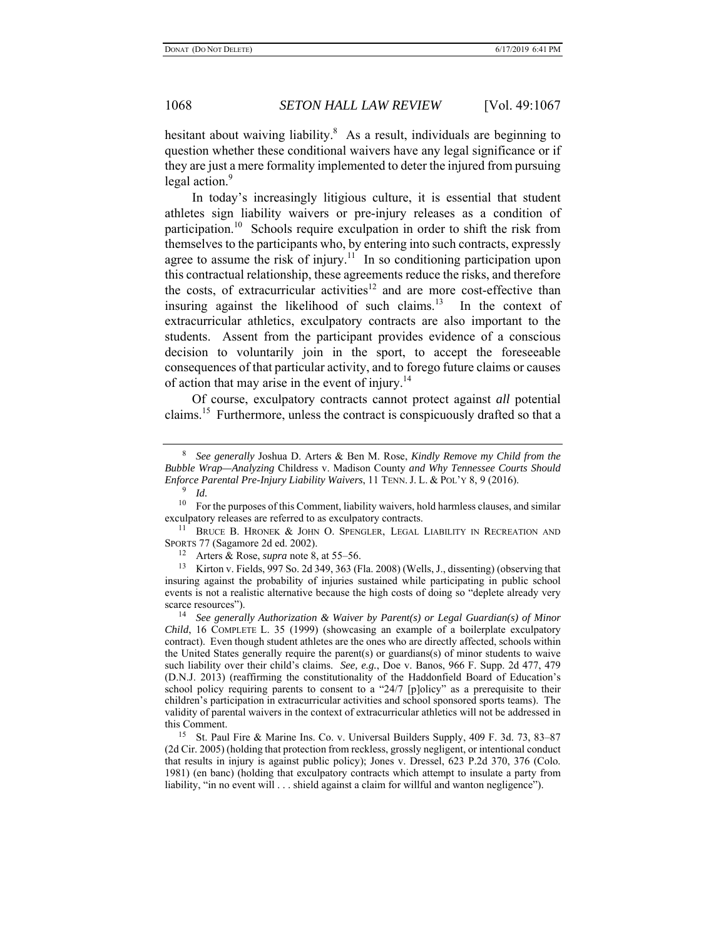hesitant about waiving liability.<sup>8</sup> As a result, individuals are beginning to question whether these conditional waivers have any legal significance or if they are just a mere formality implemented to deter the injured from pursuing legal action.<sup>9</sup>

In today's increasingly litigious culture, it is essential that student athletes sign liability waivers or pre-injury releases as a condition of participation.10 Schools require exculpation in order to shift the risk from themselves to the participants who, by entering into such contracts, expressly agree to assume the risk of injury.<sup>11</sup> In so conditioning participation upon this contractual relationship, these agreements reduce the risks, and therefore the costs, of extracurricular activities<sup>12</sup> and are more cost-effective than insuring against the likelihood of such claims.<sup>13</sup> In the context of extracurricular athletics, exculpatory contracts are also important to the students. Assent from the participant provides evidence of a conscious decision to voluntarily join in the sport, to accept the foreseeable consequences of that particular activity, and to forego future claims or causes of action that may arise in the event of injury.<sup>14</sup>

Of course, exculpatory contracts cannot protect against *all* potential claims.<sup>15</sup> Furthermore, unless the contract is conspicuously drafted so that a

9 *Id.*

13 Kirton v. Fields, 997 So. 2d 349, 363 (Fla. 2008) (Wells, J., dissenting) (observing that insuring against the probability of injuries sustained while participating in public school events is not a realistic alternative because the high costs of doing so "deplete already very scarce resources").

<sup>14</sup> See generally Authorization & Waiver by Parent(s) or Legal Guardian(s) of Minor *Child*, 16 COMPLETE L. 35 (1999) (showcasing an example of a boilerplate exculpatory contract). Even though student athletes are the ones who are directly affected, schools within the United States generally require the parent(s) or guardians(s) of minor students to waive such liability over their child's claims. *See, e.g.*, Doe v. Banos, 966 F. Supp. 2d 477, 479 (D.N.J. 2013) (reaffirming the constitutionality of the Haddonfield Board of Education's school policy requiring parents to consent to a "24/7 [p]olicy" as a prerequisite to their children's participation in extracurricular activities and school sponsored sports teams). The validity of parental waivers in the context of extracurricular athletics will not be addressed in this Comment.

<sup>15</sup> St. Paul Fire & Marine Ins. Co. v. Universal Builders Supply, 409 F. 3d. 73, 83-87 (2d Cir. 2005) (holding that protection from reckless, grossly negligent, or intentional conduct that results in injury is against public policy); Jones v. Dressel, 623 P.2d 370, 376 (Colo. 1981) (en banc) (holding that exculpatory contracts which attempt to insulate a party from liability, "in no event will . . . shield against a claim for willful and wanton negligence").

<sup>8</sup> *See generally* Joshua D. Arters & Ben M. Rose, *Kindly Remove my Child from the Bubble Wrap—Analyzing* Childress v. Madison County *and Why Tennessee Courts Should Enforce Parental Pre-Injury Liability Waivers*, 11 TENN. J. L. & POL'Y 8, 9 (2016).

 $10$  For the purposes of this Comment, liability waivers, hold harmless clauses, and similar exculpatory releases are referred to as exculpatory contracts.<br><sup>11</sup> BRUCE B. HRONEK & JOHN O. SPENGLER, LEGAL LIABILITY IN RECREATION AND

SPORTS 77 (Sagamore 2d ed. 2002). 12 Arters & Rose, *supra* note 8, at 55–56.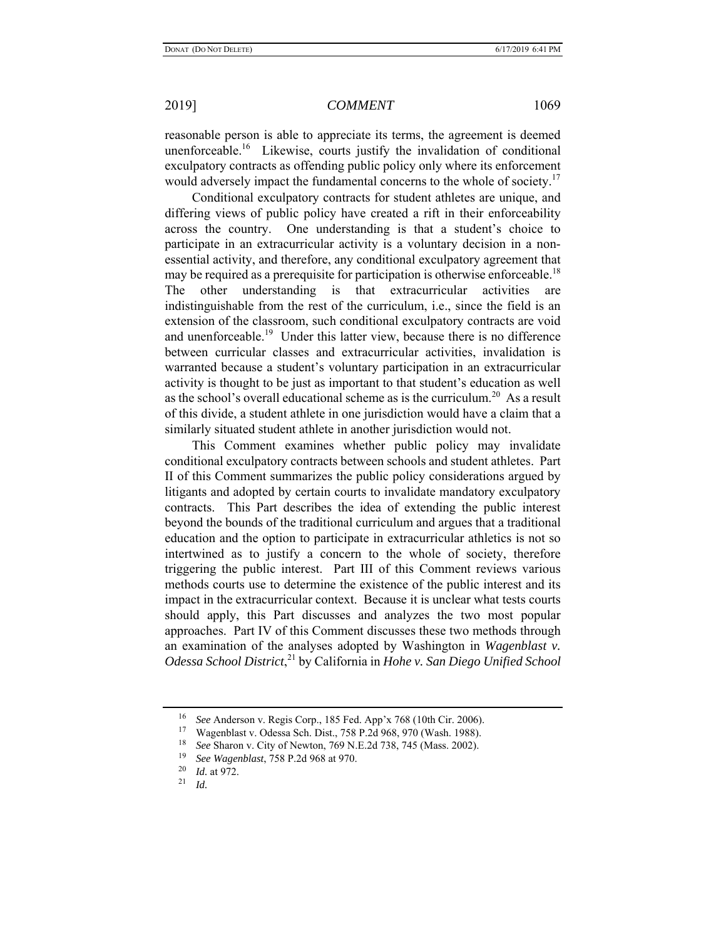reasonable person is able to appreciate its terms, the agreement is deemed unenforceable.<sup>16</sup> Likewise, courts justify the invalidation of conditional exculpatory contracts as offending public policy only where its enforcement would adversely impact the fundamental concerns to the whole of society. $17$ 

Conditional exculpatory contracts for student athletes are unique, and differing views of public policy have created a rift in their enforceability across the country. One understanding is that a student's choice to participate in an extracurricular activity is a voluntary decision in a nonessential activity, and therefore, any conditional exculpatory agreement that may be required as a prerequisite for participation is otherwise enforceable.<sup>18</sup> The other understanding is that extracurricular activities are indistinguishable from the rest of the curriculum, i.e., since the field is an extension of the classroom, such conditional exculpatory contracts are void and unenforceable.<sup>19</sup> Under this latter view, because there is no difference between curricular classes and extracurricular activities, invalidation is warranted because a student's voluntary participation in an extracurricular activity is thought to be just as important to that student's education as well as the school's overall educational scheme as is the curriculum.<sup>20</sup> As a result of this divide, a student athlete in one jurisdiction would have a claim that a similarly situated student athlete in another jurisdiction would not.

This Comment examines whether public policy may invalidate conditional exculpatory contracts between schools and student athletes. Part II of this Comment summarizes the public policy considerations argued by litigants and adopted by certain courts to invalidate mandatory exculpatory contracts. This Part describes the idea of extending the public interest beyond the bounds of the traditional curriculum and argues that a traditional education and the option to participate in extracurricular athletics is not so intertwined as to justify a concern to the whole of society, therefore triggering the public interest. Part III of this Comment reviews various methods courts use to determine the existence of the public interest and its impact in the extracurricular context. Because it is unclear what tests courts should apply, this Part discusses and analyzes the two most popular approaches. Part IV of this Comment discusses these two methods through an examination of the analyses adopted by Washington in *Wagenblast v. Odessa School District*, 21 by California in *Hohe v. San Diego Unified School* 

<sup>&</sup>lt;sup>16</sup> *See* Anderson v. Regis Corp., 185 Fed. App'x 768 (10th Cir. 2006).<br><sup>17</sup> Wescullate: Odays Sale Dirt, 758 P.24 068, 970 (West, 1088).

<sup>&</sup>lt;sup>17</sup> Wagenblast v. Odessa Sch. Dist., 758 P.2d 968, 970 (Wash. 1988).<br><sup>18</sup> See Sharan v. City of Newton, 760 N.E. 2d 728, 745 (Mass. 2002).

<sup>18</sup> *See* Sharon v. City of Newton, 769 N.E.2d 738, 745 (Mass. 2002).

<sup>19</sup> *See Wagenblast*, 758 P.2d 968 at 970.

<sup>20</sup>*Id.* at 972. 21 *Id.*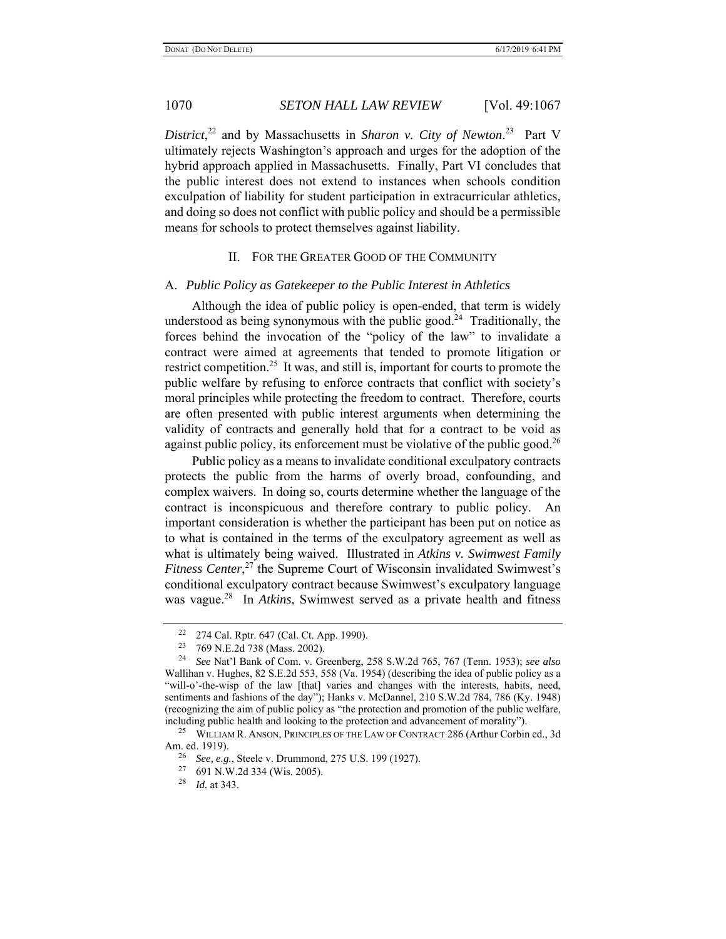District,<sup>22</sup> and by Massachusetts in *Sharon v. City of Newton*.<sup>23</sup> Part V ultimately rejects Washington's approach and urges for the adoption of the hybrid approach applied in Massachusetts. Finally, Part VI concludes that the public interest does not extend to instances when schools condition exculpation of liability for student participation in extracurricular athletics, and doing so does not conflict with public policy and should be a permissible means for schools to protect themselves against liability.

### II. FOR THE GREATER GOOD OF THE COMMUNITY

### A. *Public Policy as Gatekeeper to the Public Interest in Athletics*

Although the idea of public policy is open-ended, that term is widely understood as being synonymous with the public good.<sup>24</sup> Traditionally, the forces behind the invocation of the "policy of the law" to invalidate a contract were aimed at agreements that tended to promote litigation or restrict competition.<sup>25</sup> It was, and still is, important for courts to promote the public welfare by refusing to enforce contracts that conflict with society's moral principles while protecting the freedom to contract. Therefore, courts are often presented with public interest arguments when determining the validity of contracts and generally hold that for a contract to be void as against public policy, its enforcement must be violative of the public good.<sup>26</sup>

Public policy as a means to invalidate conditional exculpatory contracts protects the public from the harms of overly broad, confounding, and complex waivers. In doing so, courts determine whether the language of the contract is inconspicuous and therefore contrary to public policy. An important consideration is whether the participant has been put on notice as to what is contained in the terms of the exculpatory agreement as well as what is ultimately being waived. Illustrated in *Atkins v. Swimwest Family Fitness Center*, 27 the Supreme Court of Wisconsin invalidated Swimwest's conditional exculpatory contract because Swimwest's exculpatory language was vague.<sup>28</sup> In *Atkins*, Swimwest served as a private health and fitness

<sup>&</sup>lt;sup>22</sup> 274 Cal. Rptr. 647 (Cal. Ct. App. 1990).<br><sup>23</sup> 769 N E 2d 738 (Mass. 2002).

<sup>23 769</sup> N.E.2d 738 (Mass. 2002).

<sup>24</sup> *See* Nat'l Bank of Com. v. Greenberg, 258 S.W.2d 765, 767 (Tenn. 1953); *see also* Wallihan v. Hughes, 82 S.E.2d 553, 558 (Va. 1954) (describing the idea of public policy as a "will-o'-the-wisp of the law [that] varies and changes with the interests, habits, need, sentiments and fashions of the day"); Hanks v. McDannel, 210 S.W.2d 784, 786 (Ky. 1948) (recognizing the aim of public policy as "the protection and promotion of the public welfare, including public health and looking to the protection and advancement of morality").

<sup>&</sup>lt;sup>25</sup> WILLIAM R. ANSON, PRINCIPLES OF THE LAW OF CONTRACT 286 (Arthur Corbin ed., 3d Am. ed. 1919).

<sup>&</sup>lt;sup>26</sup> *See, e.g.*, Steele v. Drummond, 275 U.S. 199 (1927).<br><sup>27</sup> 691 N W 2d 334 (Wis 2005)

 $^{27}$  691 N.W.2d 334 (Wis. 2005).<br><sup>28</sup> *L*d at 343

*Id.* at 343.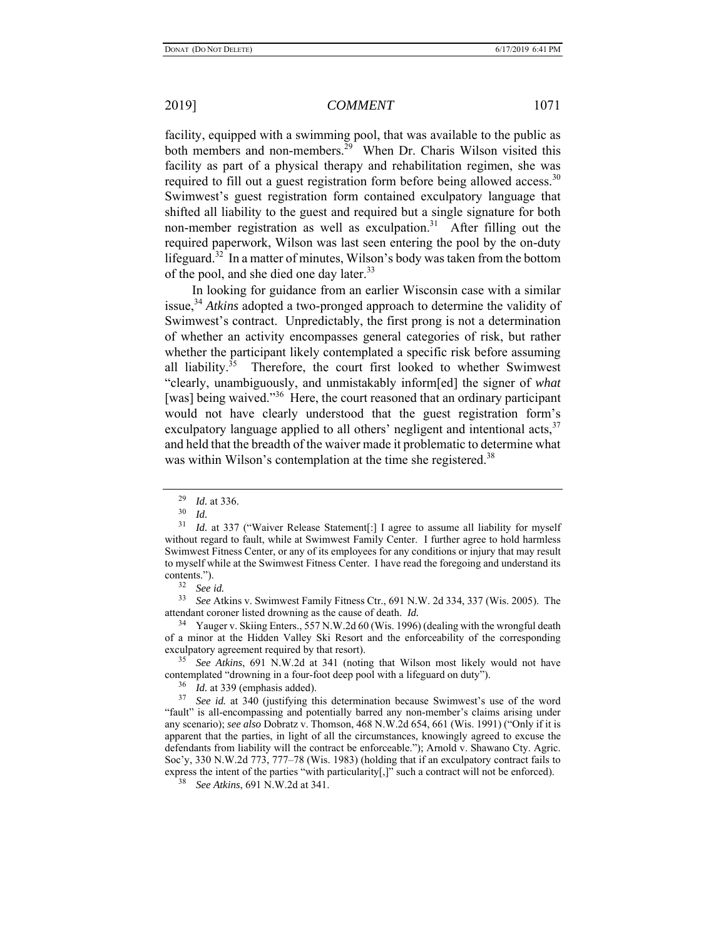facility, equipped with a swimming pool, that was available to the public as both members and non-members.<sup>29</sup> When Dr. Charis Wilson visited this

facility as part of a physical therapy and rehabilitation regimen, she was required to fill out a guest registration form before being allowed access.<sup>30</sup> Swimwest's guest registration form contained exculpatory language that shifted all liability to the guest and required but a single signature for both non-member registration as well as exculpation.<sup>31</sup> After filling out the required paperwork, Wilson was last seen entering the pool by the on-duty lifeguard.<sup>32</sup> In a matter of minutes, Wilson's body was taken from the bottom of the pool, and she died one day later.<sup>33</sup>

In looking for guidance from an earlier Wisconsin case with a similar issue,<sup>34</sup> *Atkins* adopted a two-pronged approach to determine the validity of Swimwest's contract. Unpredictably, the first prong is not a determination of whether an activity encompasses general categories of risk, but rather whether the participant likely contemplated a specific risk before assuming all liability.<sup>35</sup> Therefore, the court first looked to whether Swimwest "clearly, unambiguously, and unmistakably inform[ed] the signer of *what* [was] being waived."<sup>36</sup> Here, the court reasoned that an ordinary participant would not have clearly understood that the guest registration form's exculpatory language applied to all others' negligent and intentional acts,  $37$ and held that the breadth of the waiver made it problematic to determine what was within Wilson's contemplation at the time she registered.<sup>38</sup>

33 *See* Atkins v. Swimwest Family Fitness Ctr., 691 N.W. 2d 334, 337 (Wis. 2005). The attendant coroner listed drowning as the cause of death. *Id.*

34 Yauger v. Skiing Enters., 557 N.W.2d 60 (Wis. 1996) (dealing with the wrongful death of a minor at the Hidden Valley Ski Resort and the enforceability of the corresponding exculpatory agreement required by that resort).

35 *See Atkins*, 691 N.W.2d at 341 (noting that Wilson most likely would not have contemplated "drowning in a four-foot deep pool with a lifeguard on duty").

36 *Id.* at 339 (emphasis added).

<sup>37</sup> *See id.* at 340 (justifying this determination because Swimwest's use of the word "fault" is all-encompassing and potentially barred any non-member's claims arising under any scenario); *see also* Dobratz v. Thomson, 468 N.W.2d 654, 661 (Wis. 1991) ("Only if it is apparent that the parties, in light of all the circumstances, knowingly agreed to excuse the defendants from liability will the contract be enforceable."); Arnold v. Shawano Cty. Agric. Soc'y, 330 N.W.2d 773, 777–78 (Wis. 1983) (holding that if an exculpatory contract fails to express the intent of the parties "with particularity[,]" such a contract will not be enforced).

38 *See Atkins*, 691 N.W.2d at 341.

 $\frac{29}{30}$  *Id.* at 336.

<sup>30</sup> *Id.*

<sup>&</sup>lt;sup>31</sup> *Id.* at 337 ("Waiver Release Statement[:] I agree to assume all liability for myself without regard to fault, while at Swimwest Family Center. I further agree to hold harmless Swimwest Fitness Center, or any of its employees for any conditions or injury that may result to myself while at the Swimwest Fitness Center. I have read the foregoing and understand its contents.").

 $rac{32}{33}$  *See id.*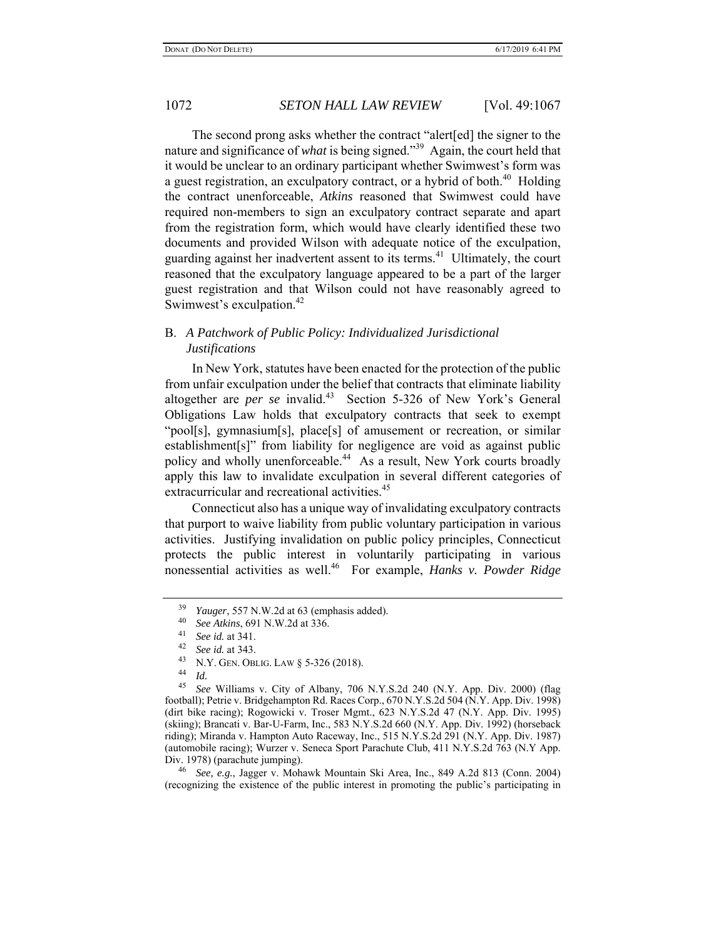The second prong asks whether the contract "alert[ed] the signer to the nature and significance of *what* is being signed."39 Again, the court held that it would be unclear to an ordinary participant whether Swimwest's form was a guest registration, an exculpatory contract, or a hybrid of both. $40$  Holding the contract unenforceable, *Atkins* reasoned that Swimwest could have required non-members to sign an exculpatory contract separate and apart from the registration form, which would have clearly identified these two documents and provided Wilson with adequate notice of the exculpation, guarding against her inadvertent assent to its terms.<sup>41</sup> Ultimately, the court reasoned that the exculpatory language appeared to be a part of the larger guest registration and that Wilson could not have reasonably agreed to Swimwest's exculpation.<sup>42</sup>

## B. *A Patchwork of Public Policy: Individualized Jurisdictional Justifications*

In New York, statutes have been enacted for the protection of the public from unfair exculpation under the belief that contracts that eliminate liability altogether are *per se* invalid.43 Section 5-326 of New York's General Obligations Law holds that exculpatory contracts that seek to exempt "pool[s], gymnasium[s], place[s] of amusement or recreation, or similar establishment[s]" from liability for negligence are void as against public policy and wholly unenforceable.<sup>44</sup> As a result, New York courts broadly apply this law to invalidate exculpation in several different categories of extracurricular and recreational activities.<sup>45</sup>

Connecticut also has a unique way of invalidating exculpatory contracts that purport to waive liability from public voluntary participation in various activities. Justifying invalidation on public policy principles, Connecticut protects the public interest in voluntarily participating in various nonessential activities as well.46 For example, *Hanks v. Powder Ridge* 

<sup>39</sup> *Yauger*, 557 N.W.2d at 63 (emphasis added).

<sup>40</sup>*See Atkins*, 691 N.W.2d at 336. 41 *See id.* at 341. 42 *See id.* at 343.

<sup>43</sup> N.Y. GEN. OBLIG. LAW § 5-326 (2018). 44 *Id.*

<sup>45</sup> *See* Williams v. City of Albany, 706 N.Y.S.2d 240 (N.Y. App. Div. 2000) (flag football); Petrie v. Bridgehampton Rd. Races Corp., 670 N.Y.S.2d 504 (N.Y. App. Div. 1998) (dirt bike racing); Rogowicki v. Troser Mgmt., 623 N.Y.S.2d 47 (N.Y. App. Div. 1995) (skiing); Brancati v. Bar-U-Farm, Inc., 583 N.Y.S.2d 660 (N.Y. App. Div. 1992) (horseback riding); Miranda v. Hampton Auto Raceway, Inc., 515 N.Y.S.2d 291 (N.Y. App. Div. 1987) (automobile racing); Wurzer v. Seneca Sport Parachute Club, 411 N.Y.S.2d 763 (N.Y App. Div. 1978) (parachute jumping).

<sup>46</sup> *See, e.g.*, Jagger v. Mohawk Mountain Ski Area, Inc., 849 A.2d 813 (Conn. 2004) (recognizing the existence of the public interest in promoting the public's participating in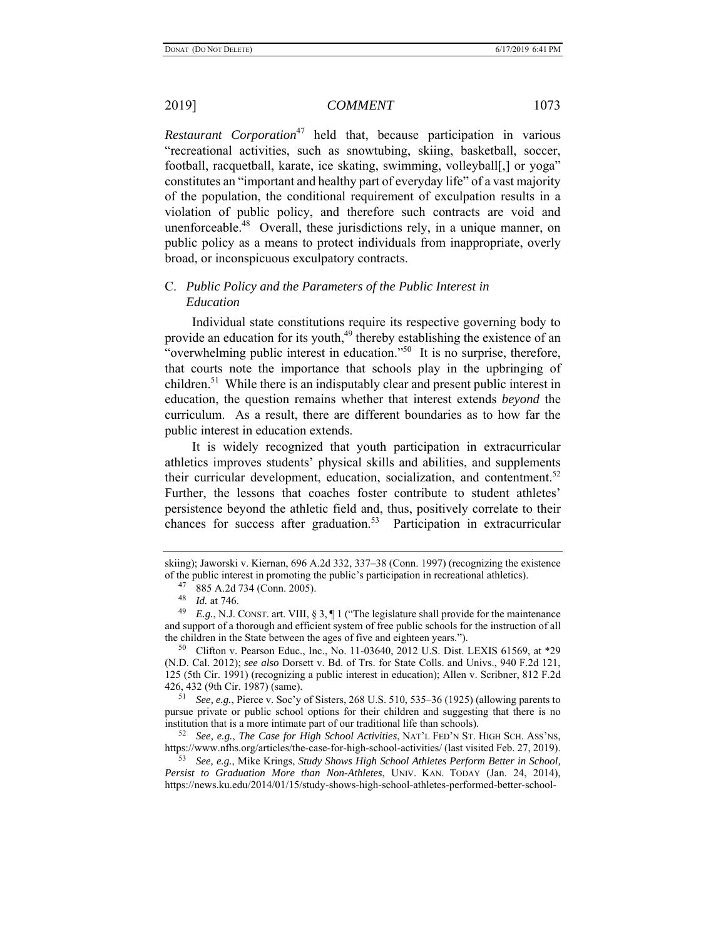*Restaurant Corporation*<sup>47</sup> held that, because participation in various "recreational activities, such as snowtubing, skiing, basketball, soccer, football, racquetball, karate, ice skating, swimming, volleyball[,] or yoga" constitutes an "important and healthy part of everyday life" of a vast majority of the population, the conditional requirement of exculpation results in a violation of public policy, and therefore such contracts are void and unenforceable.<sup>48</sup> Overall, these jurisdictions rely, in a unique manner, on public policy as a means to protect individuals from inappropriate, overly broad, or inconspicuous exculpatory contracts.

## C. *Public Policy and the Parameters of the Public Interest in Education*

Individual state constitutions require its respective governing body to provide an education for its youth,<sup>49</sup> thereby establishing the existence of an "overwhelming public interest in education."<sup>50</sup> It is no surprise, therefore, that courts note the importance that schools play in the upbringing of children.<sup>51</sup> While there is an indisputably clear and present public interest in education, the question remains whether that interest extends *beyond* the curriculum. As a result, there are different boundaries as to how far the public interest in education extends.

It is widely recognized that youth participation in extracurricular athletics improves students' physical skills and abilities, and supplements their curricular development, education, socialization, and contentment.<sup>52</sup> Further, the lessons that coaches foster contribute to student athletes' persistence beyond the athletic field and, thus, positively correlate to their chances for success after graduation.<sup>53</sup> Participation in extracurricular

51 *See, e.g.*, Pierce v. Soc'y of Sisters, 268 U.S. 510, 535–36 (1925) (allowing parents to pursue private or public school options for their children and suggesting that there is no institution that is a more intimate part of our traditional life than schools).

52 *See, e.g.*, *The Case for High School Activities*, NAT'L FED'N ST. HIGH SCH. ASS'NS, https://www.nfhs.org/articles/the-case-for-high-school-activities/ (last visited Feb. 27, 2019).

53 *See, e.g.*, Mike Krings, *Study Shows High School Athletes Perform Better in School, Persist to Graduation More than Non-Athletes*, UNIV. KAN. TODAY (Jan. 24, 2014), https://news.ku.edu/2014/01/15/study-shows-high-school-athletes-performed-better-school-

skiing); Jaworski v. Kiernan, 696 A.2d 332, 337–38 (Conn. 1997) (recognizing the existence of the public interest in promoting the public's participation in recreational athletics).

<sup>47 885</sup> A.2d 734 (Conn. 2005).

 $\frac{48}{49}$  *Id.* at 746.

*E.g.*, N.J. CONST. art. VIII, § 3, ¶ 1 ("The legislature shall provide for the maintenance and support of a thorough and efficient system of free public schools for the instruction of all the children in the State between the ages of five and eighteen years.").

<sup>50</sup> Clifton v. Pearson Educ., Inc., No. 11-03640, 2012 U.S. Dist. LEXIS 61569, at \*29 (N.D. Cal. 2012); *see also* Dorsett v. Bd. of Trs. for State Colls. and Univs., 940 F.2d 121, 125 (5th Cir. 1991) (recognizing a public interest in education); Allen v. Scribner, 812 F.2d 426, 432 (9th Cir. 1987) (same).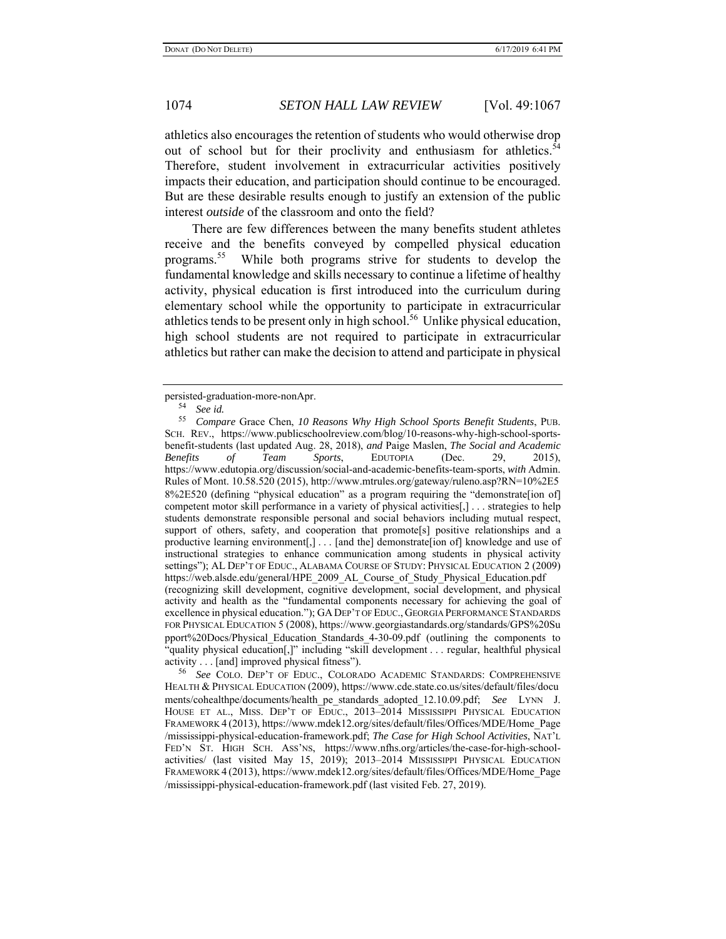athletics also encourages the retention of students who would otherwise drop out of school but for their proclivity and enthusiasm for athletics.<sup>54</sup> Therefore, student involvement in extracurricular activities positively impacts their education, and participation should continue to be encouraged. But are these desirable results enough to justify an extension of the public interest *outside* of the classroom and onto the field?

There are few differences between the many benefits student athletes receive and the benefits conveyed by compelled physical education programs.55 While both programs strive for students to develop the fundamental knowledge and skills necessary to continue a lifetime of healthy activity, physical education is first introduced into the curriculum during elementary school while the opportunity to participate in extracurricular athletics tends to be present only in high school.<sup>56</sup> Unlike physical education, high school students are not required to participate in extracurricular athletics but rather can make the decision to attend and participate in physical

persisted-graduation-more-nonApr.<br> $\frac{54}{2}$  Sec.id

<sup>54</sup> *See id.*

<sup>55</sup> *Compare* Grace Chen, *10 Reasons Why High School Sports Benefit Students*, PUB. SCH. REV., https://www.publicschoolreview.com/blog/10-reasons-why-high-school-sportsbenefit-students (last updated Aug. 28, 2018), *and* Paige Maslen, *The Social and Academic Benefits of Team Sports*, EDUTOPIA (Dec. 29, 2015), https://www.edutopia.org/discussion/social-and-academic-benefits-team-sports, *with* Admin. Rules of Mont. 10.58.520 (2015), http://www.mtrules.org/gateway/ruleno.asp?RN=10%2E5 8%2E520 (defining "physical education" as a program requiring the "demonstrate[ion of] competent motor skill performance in a variety of physical activities[,] . . . strategies to help students demonstrate responsible personal and social behaviors including mutual respect, support of others, safety, and cooperation that promote<sup>[s]</sup> positive relationships and a productive learning environment[,] . . . [and the] demonstrate[ion of] knowledge and use of instructional strategies to enhance communication among students in physical activity settings"); AL DEP'T OF EDUC., ALABAMA COURSE OF STUDY: PHYSICAL EDUCATION 2 (2009) https://web.alsde.edu/general/HPE\_2009\_AL\_Course\_of\_Study\_Physical\_Education.pdf (recognizing skill development, cognitive development, social development, and physical activity and health as the "fundamental components necessary for achieving the goal of excellence in physical education."); GADEP'T OF EDUC., GEORGIA PERFORMANCE STANDARDS FOR PHYSICAL EDUCATION 5 (2008), https://www.georgiastandards.org/standards/GPS%20Su pport%20Docs/Physical\_Education\_Standards\_4-30-09.pdf (outlining the components to "quality physical education[,]" including "skill development . . . regular, healthful physical activity . . . [and] improved physical fitness").

<sup>56</sup> *See* COLO. DEP'T OF EDUC., COLORADO ACADEMIC STANDARDS: COMPREHENSIVE HEALTH & PHYSICAL EDUCATION (2009), https://www.cde.state.co.us/sites/default/files/docu ments/cohealthpe/documents/health\_pe\_standards\_adopted\_12.10.09.pdf; *See* LYNN J. HOUSE ET AL., MISS. DEP'T OF EDUC., 2013–2014 MISSISSIPPI PHYSICAL EDUCATION FRAMEWORK 4 (2013), https://www.mdek12.org/sites/default/files/Offices/MDE/Home\_Page /mississippi-physical-education-framework.pdf; *The Case for High School Activities*, NAT'L FED'N ST. HIGH SCH. ASS'NS, https://www.nfhs.org/articles/the-case-for-high-schoolactivities/ (last visited May 15, 2019); 2013–2014 MISSISSIPPI PHYSICAL EDUCATION FRAMEWORK 4 (2013), https://www.mdek12.org/sites/default/files/Offices/MDE/Home\_Page /mississippi-physical-education-framework.pdf (last visited Feb. 27, 2019).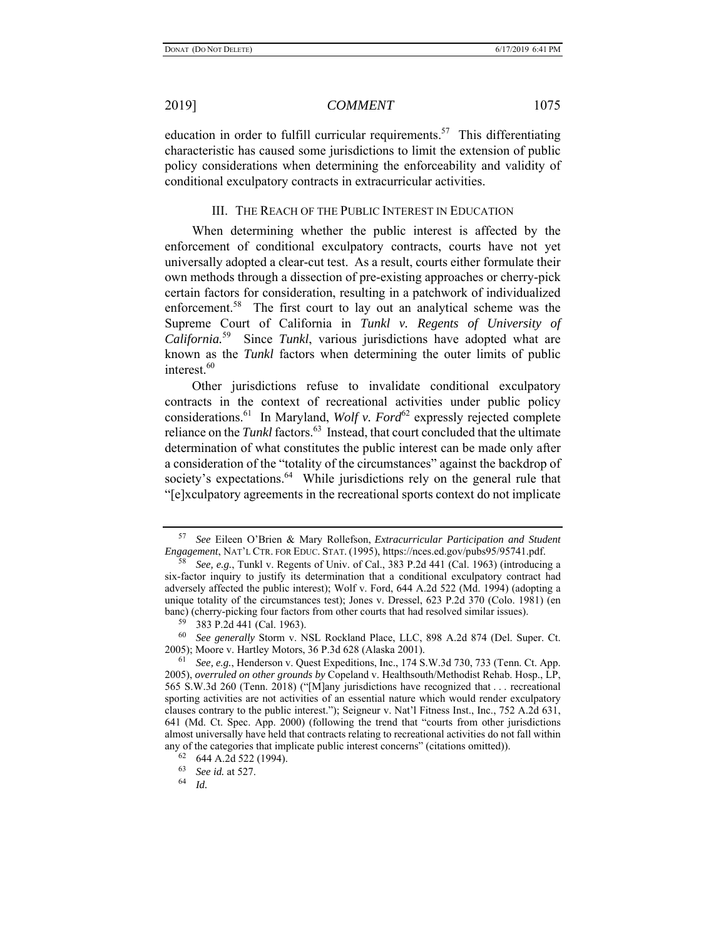education in order to fulfill curricular requirements.<sup>57</sup> This differentiating characteristic has caused some jurisdictions to limit the extension of public policy considerations when determining the enforceability and validity of conditional exculpatory contracts in extracurricular activities.

### III. THE REACH OF THE PUBLIC INTEREST IN EDUCATION

When determining whether the public interest is affected by the enforcement of conditional exculpatory contracts, courts have not yet universally adopted a clear-cut test. As a result, courts either formulate their own methods through a dissection of pre-existing approaches or cherry-pick certain factors for consideration, resulting in a patchwork of individualized enforcement.<sup>58</sup> The first court to lay out an analytical scheme was the Supreme Court of California in *Tunkl v. Regents of University of California.*59 Since *Tunkl*, various jurisdictions have adopted what are known as the *Tunkl* factors when determining the outer limits of public interest.<sup>60</sup>

Other jurisdictions refuse to invalidate conditional exculpatory contracts in the context of recreational activities under public policy considerations.<sup>61</sup> In Maryland, *Wolf v. Ford*<sup>62</sup> expressly rejected complete reliance on the *Tunkl* factors.<sup>63</sup> Instead, that court concluded that the ultimate determination of what constitutes the public interest can be made only after a consideration of the "totality of the circumstances" against the backdrop of society's expectations.<sup>64</sup> While jurisdictions rely on the general rule that "[e]xculpatory agreements in the recreational sports context do not implicate

<sup>57</sup> *See* Eileen O'Brien & Mary Rollefson, *Extracurricular Participation and Student Engagement*, NAT'L CTR. FOR EDUC. STAT. (1995), https://nces.ed.gov/pubs95/95741.pdf.

<sup>58</sup> *See, e.g.*, Tunkl v. Regents of Univ. of Cal., 383 P.2d 441 (Cal. 1963) (introducing a six-factor inquiry to justify its determination that a conditional exculpatory contract had adversely affected the public interest); Wolf v. Ford, 644 A.2d 522 (Md. 1994) (adopting a unique totality of the circumstances test); Jones v. Dressel, 623 P.2d 370 (Colo. 1981) (en banc) (cherry-picking four factors from other courts that had resolved similar issues).

<sup>59 383</sup> P.2d 441 (Cal. 1963).

<sup>60</sup> *See generally* Storm v. NSL Rockland Place, LLC, 898 A.2d 874 (Del. Super. Ct. 2005); Moore v. Hartley Motors, 36 P.3d 628 (Alaska 2001).

<sup>61</sup> *See, e.g.*, Henderson v. Quest Expeditions, Inc., 174 S.W.3d 730, 733 (Tenn. Ct. App. 2005), *overruled on other grounds by* Copeland v. Healthsouth/Methodist Rehab. Hosp., LP, 565 S.W.3d 260 (Tenn. 2018) ("[M]any jurisdictions have recognized that . . . recreational sporting activities are not activities of an essential nature which would render exculpatory clauses contrary to the public interest."); Seigneur v. Nat'l Fitness Inst., Inc., 752 A.2d 631, 641 (Md. Ct. Spec. App. 2000) (following the trend that "courts from other jurisdictions almost universally have held that contracts relating to recreational activities do not fall within any of the categories that implicate public interest concerns" (citations omitted)).

 $^{62}$  644 A.2d 522 (1994).

<sup>63</sup> *See id.* at 527.

<sup>64</sup> *Id.*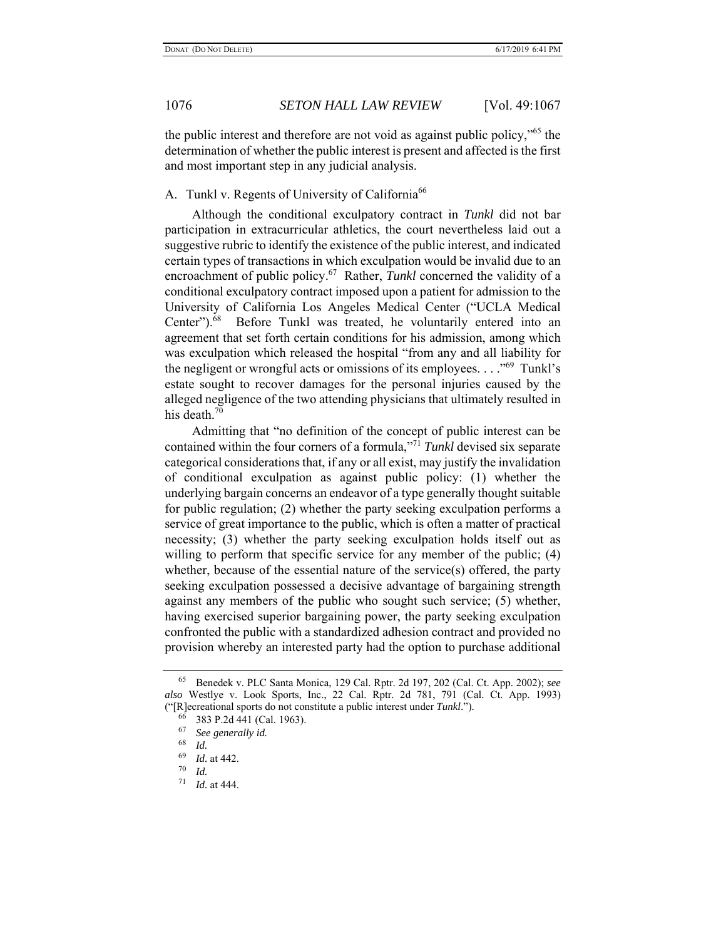the public interest and therefore are not void as against public policy,"65 the determination of whether the public interest is present and affected is the first and most important step in any judicial analysis.

## A. Tunkl v. Regents of University of California<sup>66</sup>

Although the conditional exculpatory contract in *Tunkl* did not bar participation in extracurricular athletics, the court nevertheless laid out a suggestive rubric to identify the existence of the public interest, and indicated certain types of transactions in which exculpation would be invalid due to an encroachment of public policy.<sup>67</sup> Rather, *Tunkl* concerned the validity of a conditional exculpatory contract imposed upon a patient for admission to the University of California Los Angeles Medical Center ("UCLA Medical Center").<sup>68</sup> Before Tunkl was treated, he voluntarily entered into an agreement that set forth certain conditions for his admission, among which was exculpation which released the hospital "from any and all liability for the negligent or wrongful acts or omissions of its employees.  $\dots$ <sup>69</sup> Tunkl's estate sought to recover damages for the personal injuries caused by the alleged negligence of the two attending physicians that ultimately resulted in his death. $70$ 

Admitting that "no definition of the concept of public interest can be contained within the four corners of a formula,"<sup>71</sup> *Tunkl* devised six separate categorical considerations that, if any or all exist, may justify the invalidation of conditional exculpation as against public policy: (1) whether the underlying bargain concerns an endeavor of a type generally thought suitable for public regulation; (2) whether the party seeking exculpation performs a service of great importance to the public, which is often a matter of practical necessity; (3) whether the party seeking exculpation holds itself out as willing to perform that specific service for any member of the public; (4) whether, because of the essential nature of the service(s) offered, the party seeking exculpation possessed a decisive advantage of bargaining strength against any members of the public who sought such service; (5) whether, having exercised superior bargaining power, the party seeking exculpation confronted the public with a standardized adhesion contract and provided no provision whereby an interested party had the option to purchase additional

<sup>65</sup> Benedek v. PLC Santa Monica, 129 Cal. Rptr. 2d 197, 202 (Cal. Ct. App. 2002); *see also* Westlye v. Look Sports, Inc., 22 Cal. Rptr. 2d 781, 791 (Cal. Ct. App. 1993) ("[R]ecreational sports do not constitute a public interest under *Tunkl*.").

 $^{66}$  383 P.2d 441 (Cal. 1963).

<sup>67</sup> *See generally id.*

*Id.* 

 $\frac{69}{70}$  *Id.* at 442.

 $\frac{70}{71}$  *Id.* 

*Id.* at 444.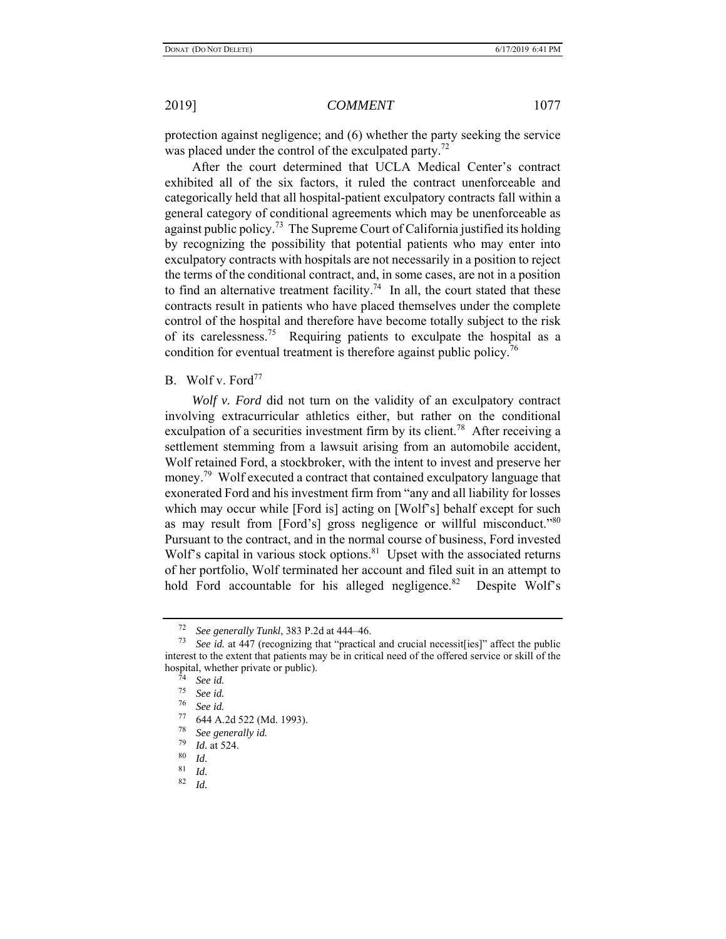protection against negligence; and (6) whether the party seeking the service was placed under the control of the exculpated party.<sup>72</sup>

After the court determined that UCLA Medical Center's contract exhibited all of the six factors, it ruled the contract unenforceable and categorically held that all hospital-patient exculpatory contracts fall within a general category of conditional agreements which may be unenforceable as against public policy.<sup>73</sup> The Supreme Court of California justified its holding by recognizing the possibility that potential patients who may enter into exculpatory contracts with hospitals are not necessarily in a position to reject the terms of the conditional contract, and, in some cases, are not in a position to find an alternative treatment facility.<sup>74</sup> In all, the court stated that these contracts result in patients who have placed themselves under the complete control of the hospital and therefore have become totally subject to the risk of its carelessness.75 Requiring patients to exculpate the hospital as a condition for eventual treatment is therefore against public policy.<sup>76</sup>

## B. Wolf v. Ford<sup>77</sup>

*Wolf v. Ford* did not turn on the validity of an exculpatory contract involving extracurricular athletics either, but rather on the conditional exculpation of a securities investment firm by its client.<sup>78</sup> After receiving a settlement stemming from a lawsuit arising from an automobile accident, Wolf retained Ford, a stockbroker, with the intent to invest and preserve her money.<sup>79</sup> Wolf executed a contract that contained exculpatory language that exonerated Ford and his investment firm from "any and all liability for losses which may occur while [Ford is] acting on [Wolf's] behalf except for such as may result from [Ford's] gross negligence or willful misconduct.<sup>80</sup> Pursuant to the contract, and in the normal course of business, Ford invested Wolf's capital in various stock options.<sup>81</sup> Upset with the associated returns of her portfolio, Wolf terminated her account and filed suit in an attempt to hold Ford accountable for his alleged negligence.<sup>82</sup> Despite Wolf's

<sup>72</sup> *See generally Tunkl*, 383 P.2d at 444–46.

See id. at 447 (recognizing that "practical and crucial necessit[ies]" affect the public interest to the extent that patients may be in critical need of the offered service or skill of the hospital, whether private or public).

 $\frac{74}{75}$  *See id.* 

 $\frac{75}{76}$  *See id.* 

<sup>76</sup> *See id.*

 $^{77}$  644 A.2d 522 (Md. 1993).

 $78$  *See generally id.*<br> $79$  *L<sub>1</sub> at 524* 

 $\frac{79}{80}$  *Id.* at 524.

 $\begin{array}{c} 80 \ 81 \ 1 \end{array}$  *Id.* 

 $\frac{81}{82}$  *Id.* 

*Id.*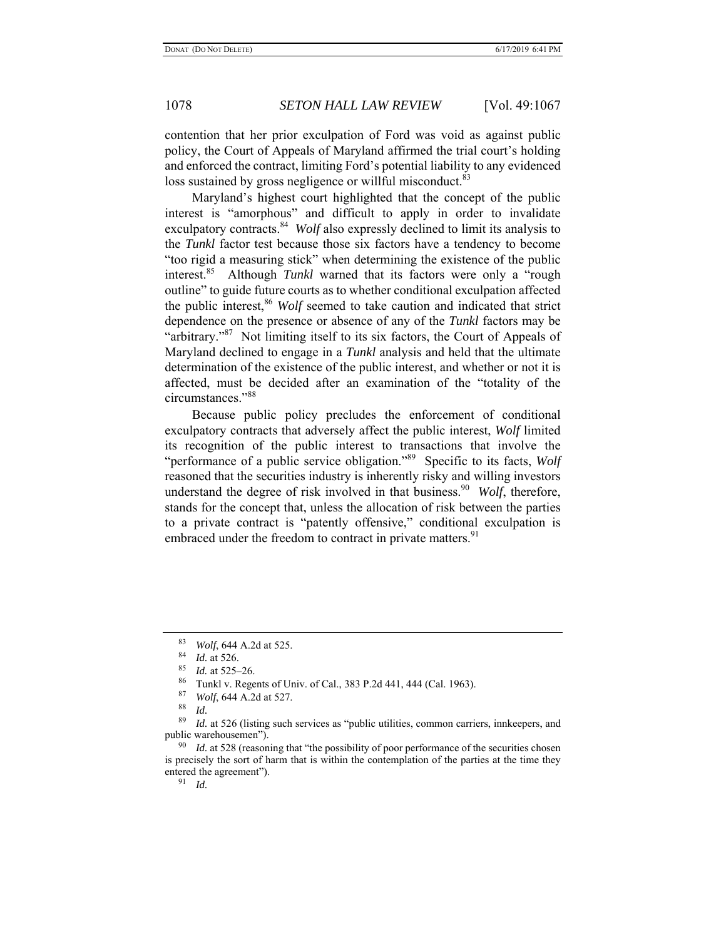contention that her prior exculpation of Ford was void as against public policy, the Court of Appeals of Maryland affirmed the trial court's holding and enforced the contract, limiting Ford's potential liability to any evidenced loss sustained by gross negligence or willful misconduct.<sup>83</sup>

Maryland's highest court highlighted that the concept of the public interest is "amorphous" and difficult to apply in order to invalidate exculpatory contracts.<sup>84</sup> *Wolf* also expressly declined to limit its analysis to the *Tunkl* factor test because those six factors have a tendency to become "too rigid a measuring stick" when determining the existence of the public interest.85 Although *Tunkl* warned that its factors were only a "rough outline" to guide future courts as to whether conditional exculpation affected the public interest,<sup>86</sup> *Wolf* seemed to take caution and indicated that strict dependence on the presence or absence of any of the *Tunkl* factors may be "arbitrary."<sup>87</sup> Not limiting itself to its six factors, the Court of Appeals of Maryland declined to engage in a *Tunkl* analysis and held that the ultimate determination of the existence of the public interest, and whether or not it is affected, must be decided after an examination of the "totality of the circumstances."<sup>88</sup>

Because public policy precludes the enforcement of conditional exculpatory contracts that adversely affect the public interest, *Wolf* limited its recognition of the public interest to transactions that involve the "performance of a public service obligation."<sup>89</sup> Specific to its facts, *Wolf* reasoned that the securities industry is inherently risky and willing investors understand the degree of risk involved in that business.<sup>90</sup> *Wolf*, therefore, stands for the concept that, unless the allocation of risk between the parties to a private contract is "patently offensive," conditional exculpation is embraced under the freedom to contract in private matters.<sup>91</sup>

<sup>83</sup> *Wolf*, 644 A.2d at 525.

*Id.* at 526.

<sup>85</sup> *Id.* at 525–26.

<sup>&</sup>lt;sup>86</sup> Tunkl v. Regents of Univ. of Cal., 383 P.2d 441, 444 (Cal. 1963).<br><sup>87</sup> Walf 644. A 2d at 527

<sup>87</sup> *Wolf*, 644 A.2d at 527.

*Id.* 

<sup>89</sup> *Id.* at 526 (listing such services as "public utilities, common carriers, innkeepers, and public warehousemen").

<sup>&</sup>lt;sup>90</sup> *Id.* at 528 (reasoning that "the possibility of poor performance of the securities chosen is precisely the sort of harm that is within the contemplation of the parties at the time they entered the agreement").

<sup>91</sup> *Id.*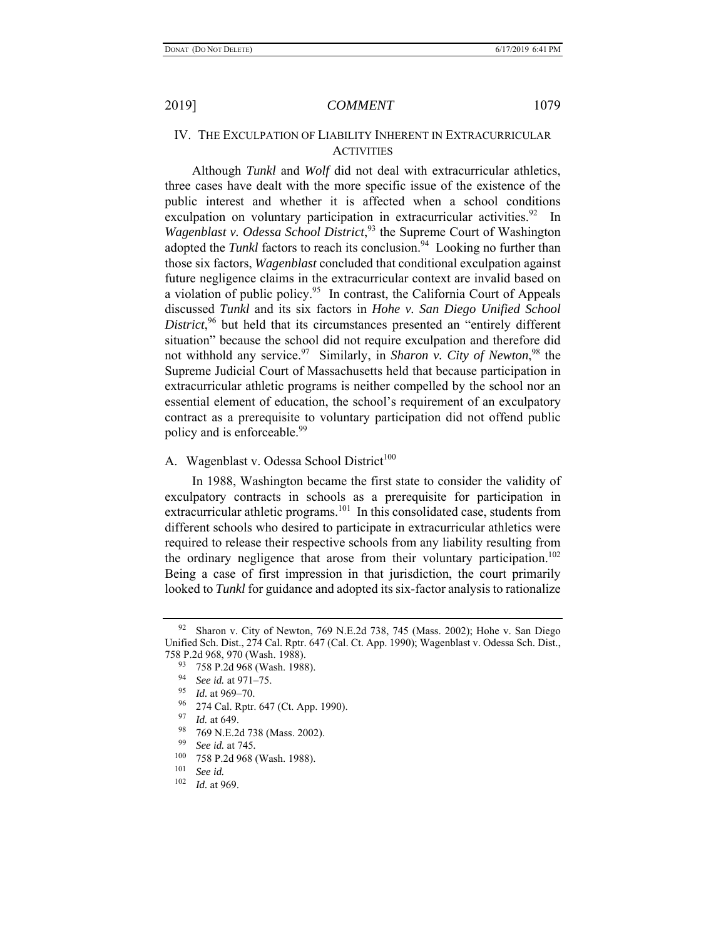### IV. THE EXCULPATION OF LIABILITY INHERENT IN EXTRACURRICULAR **ACTIVITIES**

Although *Tunkl* and *Wolf* did not deal with extracurricular athletics, three cases have dealt with the more specific issue of the existence of the public interest and whether it is affected when a school conditions exculpation on voluntary participation in extracurricular activities.<sup>92</sup> In *Wagenblast v. Odessa School District*, 93 the Supreme Court of Washington adopted the *Tunkl* factors to reach its conclusion.<sup>94</sup> Looking no further than those six factors, *Wagenblast* concluded that conditional exculpation against future negligence claims in the extracurricular context are invalid based on a violation of public policy.<sup>95</sup> In contrast, the California Court of Appeals discussed *Tunkl* and its six factors in *Hohe v. San Diego Unified School*  District,<sup>96</sup> but held that its circumstances presented an "entirely different situation" because the school did not require exculpation and therefore did not withhold any service.<sup>97</sup> Similarly, in *Sharon v. City of Newton*,<sup>98</sup> the Supreme Judicial Court of Massachusetts held that because participation in extracurricular athletic programs is neither compelled by the school nor an essential element of education, the school's requirement of an exculpatory contract as a prerequisite to voluntary participation did not offend public policy and is enforceable.<sup>99</sup>

## A. Wagenblast v. Odessa School District<sup>100</sup>

In 1988, Washington became the first state to consider the validity of exculpatory contracts in schools as a prerequisite for participation in extracurricular athletic programs.<sup>101</sup> In this consolidated case, students from different schools who desired to participate in extracurricular athletics were required to release their respective schools from any liability resulting from the ordinary negligence that arose from their voluntary participation.<sup>102</sup> Being a case of first impression in that jurisdiction, the court primarily looked to *Tunkl* for guidance and adopted its six-factor analysis to rationalize

<sup>&</sup>lt;sup>92</sup> Sharon v. City of Newton, 769 N.E.2d 738, 745 (Mass. 2002); Hohe v. San Diego Unified Sch. Dist., 274 Cal. Rptr. 647 (Cal. Ct. App. 1990); Wagenblast v. Odessa Sch. Dist., 758 P.2d 968, 970 (Wash. 1988).

<sup>93 758</sup> P.2d 968 (Wash. 1988).

<sup>94</sup> *See id.* at 971–75.

<sup>95</sup> *Id.* at 969–70.

 $\frac{96}{97}$  274 Cal. Rptr. 647 (Ct. App. 1990).

*Id.* at 649.

 $^{98}$  769 N.E.2d 738 (Mass. 2002).

<sup>99</sup> *See id.* at 745*.* 

 $^{100}$  758 P.2d 968 (Wash. 1988).

 $\frac{101}{102}$  *See id.* 

*Id.* at 969.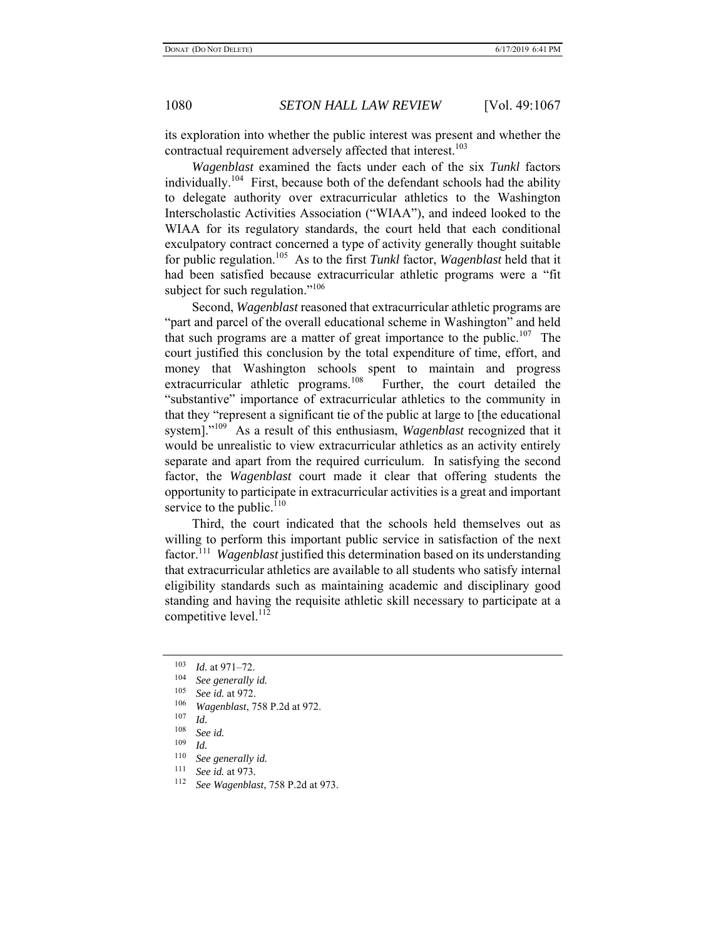its exploration into whether the public interest was present and whether the contractual requirement adversely affected that interest.<sup>103</sup>

*Wagenblast* examined the facts under each of the six *Tunkl* factors individually.<sup>104</sup> First, because both of the defendant schools had the ability to delegate authority over extracurricular athletics to the Washington Interscholastic Activities Association ("WIAA"), and indeed looked to the WIAA for its regulatory standards, the court held that each conditional exculpatory contract concerned a type of activity generally thought suitable for public regulation.105 As to the first *Tunkl* factor, *Wagenblast* held that it had been satisfied because extracurricular athletic programs were a "fit subject for such regulation."<sup>106</sup>

Second, *Wagenblast* reasoned that extracurricular athletic programs are "part and parcel of the overall educational scheme in Washington" and held that such programs are a matter of great importance to the public.<sup>107</sup> The court justified this conclusion by the total expenditure of time, effort, and money that Washington schools spent to maintain and progress extracurricular athletic programs.<sup>108</sup> Further, the court detailed the "substantive" importance of extracurricular athletics to the community in that they "represent a significant tie of the public at large to [the educational system]."109 As a result of this enthusiasm, *Wagenblast* recognized that it would be unrealistic to view extracurricular athletics as an activity entirely separate and apart from the required curriculum. In satisfying the second factor, the *Wagenblast* court made it clear that offering students the opportunity to participate in extracurricular activities is a great and important service to the public. $110$ 

Third, the court indicated that the schools held themselves out as willing to perform this important public service in satisfaction of the next factor.111 *Wagenblast* justified this determination based on its understanding that extracurricular athletics are available to all students who satisfy internal eligibility standards such as maintaining academic and disciplinary good standing and having the requisite athletic skill necessary to participate at a competitive level.<sup>112</sup>

<sup>103</sup> *Id.* at 971–72.

 $\frac{104}{105}$  *See generally id.* 

 $\frac{105}{106}$  *See id.* at 972.

<sup>106</sup> *Wagenblast*, 758 P.2d at 972.

 $\frac{107}{108}$  *Id.* 

<sup>108</sup> *See id.*

 $\frac{109}{110}$  *Id.* 

<sup>&</sup>lt;sup>110</sup> *See generally id.*<br><sup>111</sup> See id. at  $073$ 

<sup>111</sup> *See id.* at 973*.*

<sup>112</sup> *See Wagenblast*, 758 P.2d at 973.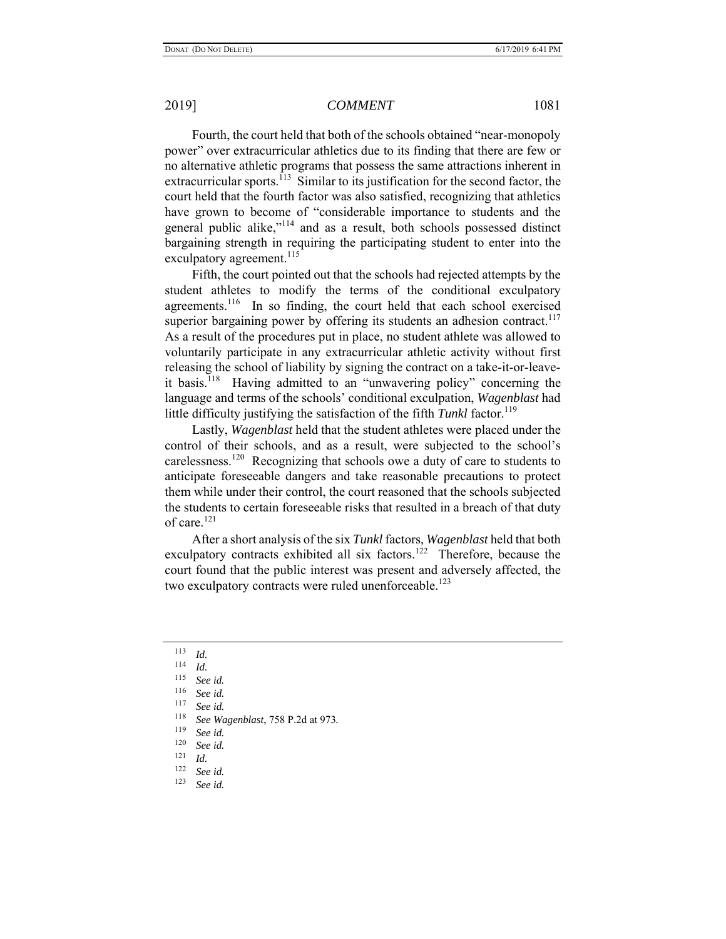Fourth, the court held that both of the schools obtained "near-monopoly power" over extracurricular athletics due to its finding that there are few or no alternative athletic programs that possess the same attractions inherent in extracurricular sports.<sup>113</sup> Similar to its justification for the second factor, the court held that the fourth factor was also satisfied, recognizing that athletics have grown to become of "considerable importance to students and the general public alike,"114 and as a result, both schools possessed distinct bargaining strength in requiring the participating student to enter into the exculpatory agreement.<sup>115</sup>

Fifth, the court pointed out that the schools had rejected attempts by the student athletes to modify the terms of the conditional exculpatory agreements.<sup>116</sup> In so finding, the court held that each school exercised superior bargaining power by offering its students an adhesion contract.<sup>117</sup> As a result of the procedures put in place, no student athlete was allowed to voluntarily participate in any extracurricular athletic activity without first releasing the school of liability by signing the contract on a take-it-or-leaveit basis.<sup>118</sup> Having admitted to an "unwavering policy" concerning the language and terms of the schools' conditional exculpation, *Wagenblast* had little difficulty justifying the satisfaction of the fifth *Tunkl* factor.<sup>119</sup>

Lastly, *Wagenblast* held that the student athletes were placed under the control of their schools, and as a result, were subjected to the school's carelessness.120 Recognizing that schools owe a duty of care to students to anticipate foreseeable dangers and take reasonable precautions to protect them while under their control, the court reasoned that the schools subjected the students to certain foreseeable risks that resulted in a breach of that duty of care.<sup>121</sup>

After a short analysis of the six *Tunkl* factors, *Wagenblast* held that both exculpatory contracts exhibited all six factors.<sup>122</sup> Therefore, because the court found that the public interest was present and adversely affected, the two exculpatory contracts were ruled unenforceable.<sup>123</sup>

- $\frac{113}{114}$  *Id.*
- $\frac{114}{115}$  *Id.*
- 115 *See id.*
- 116 *See id.*
- $\frac{117}{118}$  *See id.*
- 118 *See Wagenblast*, 758 P.2d at 973*.*
- $\frac{119}{120}$  *See id.*
- $\frac{120}{121}$  *See id.*
- $\frac{121}{122}$  *Id.*
- 122 *See id.*
- See id.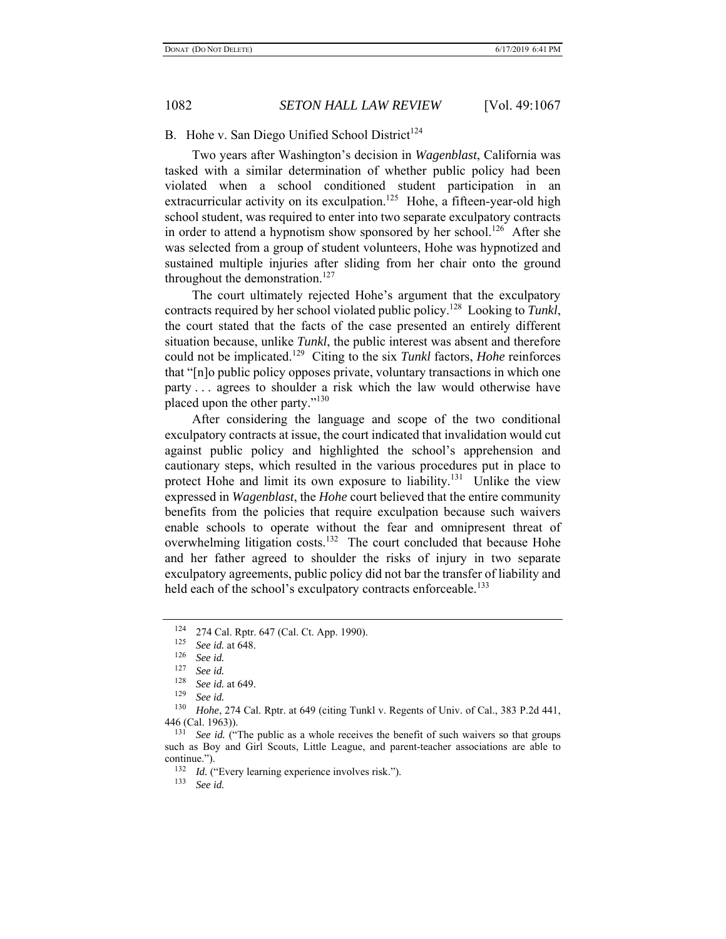B. Hohe v. San Diego Unified School District<sup>124</sup>

Two years after Washington's decision in *Wagenblast*, California was tasked with a similar determination of whether public policy had been violated when a school conditioned student participation in an extracurricular activity on its exculpation.<sup>125</sup> Hohe, a fifteen-year-old high school student, was required to enter into two separate exculpatory contracts in order to attend a hypnotism show sponsored by her school.<sup>126</sup> After she was selected from a group of student volunteers, Hohe was hypnotized and sustained multiple injuries after sliding from her chair onto the ground throughout the demonstration.<sup>127</sup>

The court ultimately rejected Hohe's argument that the exculpatory contracts required by her school violated public policy.128 Looking to *Tunkl*, the court stated that the facts of the case presented an entirely different situation because, unlike *Tunkl*, the public interest was absent and therefore could not be implicated.129 Citing to the six *Tunkl* factors, *Hohe* reinforces that "[n]o public policy opposes private, voluntary transactions in which one party . . . agrees to shoulder a risk which the law would otherwise have placed upon the other party."<sup>130</sup>

After considering the language and scope of the two conditional exculpatory contracts at issue, the court indicated that invalidation would cut against public policy and highlighted the school's apprehension and cautionary steps, which resulted in the various procedures put in place to protect Hohe and limit its own exposure to liability.<sup>131</sup> Unlike the view expressed in *Wagenblast*, the *Hohe* court believed that the entire community benefits from the policies that require exculpation because such waivers enable schools to operate without the fear and omnipresent threat of overwhelming litigation costs.<sup>132</sup> The court concluded that because Hohe and her father agreed to shoulder the risks of injury in two separate exculpatory agreements, public policy did not bar the transfer of liability and held each of the school's exculpatory contracts enforceable.<sup>133</sup>

 $124$  274 Cal. Rptr. 647 (Cal. Ct. App. 1990).

 $\frac{125}{126}$  *See id.* at 648.

See *id.* 

<sup>127</sup> *See id.*

<sup>&</sup>lt;sup>128</sup> *See id.* at 649.

<sup>129</sup> *See id.*

Hohe, 274 Cal. Rptr. at 649 (citing Tunkl v. Regents of Univ. of Cal., 383 P.2d 441, 446 (Cal. 1963)).<br> $\frac{131}{500}$  Seg id. (\*

See id. ("The public as a whole receives the benefit of such waivers so that groups such as Boy and Girl Scouts, Little League, and parent-teacher associations are able to continue.").<br> $\frac{132}{14}$ .

<sup>&</sup>lt;sup>132</sup> *Id.* ("Every learning experience involves risk.").<br><sup>133</sup> See id

See *id.*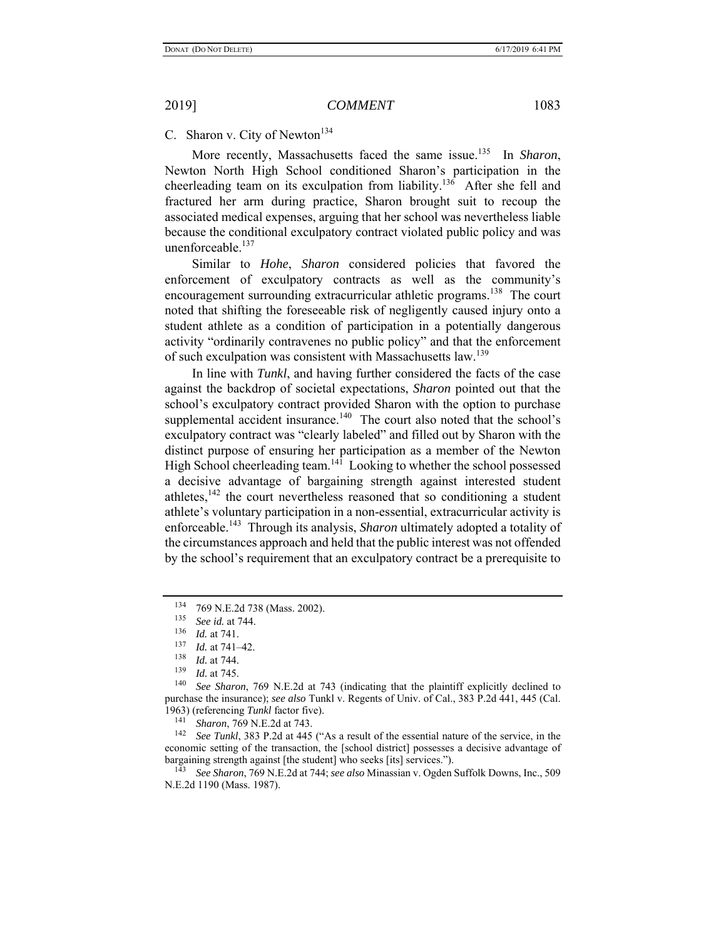## C. Sharon v. City of Newton<sup>134</sup>

More recently, Massachusetts faced the same issue.<sup>135</sup> In *Sharon*, Newton North High School conditioned Sharon's participation in the cheerleading team on its exculpation from liability.<sup>136</sup> After she fell and fractured her arm during practice, Sharon brought suit to recoup the associated medical expenses, arguing that her school was nevertheless liable because the conditional exculpatory contract violated public policy and was unenforceable.<sup>137</sup>

Similar to *Hohe*, *Sharon* considered policies that favored the enforcement of exculpatory contracts as well as the community's encouragement surrounding extracurricular athletic programs.<sup>138</sup> The court noted that shifting the foreseeable risk of negligently caused injury onto a student athlete as a condition of participation in a potentially dangerous activity "ordinarily contravenes no public policy" and that the enforcement of such exculpation was consistent with Massachusetts law.<sup>139</sup>

In line with *Tunkl*, and having further considered the facts of the case against the backdrop of societal expectations, *Sharon* pointed out that the school's exculpatory contract provided Sharon with the option to purchase supplemental accident insurance.<sup>140</sup> The court also noted that the school's exculpatory contract was "clearly labeled" and filled out by Sharon with the distinct purpose of ensuring her participation as a member of the Newton High School cheerleading team.<sup>141</sup> Looking to whether the school possessed a decisive advantage of bargaining strength against interested student athletes, $142$  the court nevertheless reasoned that so conditioning a student athlete's voluntary participation in a non-essential, extracurricular activity is enforceable.143 Through its analysis, *Sharon* ultimately adopted a totality of the circumstances approach and held that the public interest was not offended by the school's requirement that an exculpatory contract be a prerequisite to

See Tunkl, 383 P.2d at 445 ("As a result of the essential nature of the service, in the economic setting of the transaction, the [school district] possesses a decisive advantage of bargaining strength against [the student] who seeks [its] services.").

143 *See Sharon*, 769 N.E.2d at 744; *see also* Minassian v. Ogden Suffolk Downs, Inc., 509 N.E.2d 1190 (Mass. 1987).

<sup>&</sup>lt;sup>134</sup> 769 N.E.2d 738 (Mass. 2002).

<sup>&</sup>lt;sup>135</sup> *See id.* at 744.<br><sup>136</sup> *Id.* at 741

 $\frac{136}{137}$  *Id.* at 741.

 $\frac{137}{138}$  *Id.* at 741–42.

 $\frac{138}{139}$  *Id.* at 744.

 $\frac{139}{140}$  *Id.* at 745.

See Sharon, 769 N.E.2d at 743 (indicating that the plaintiff explicitly declined to purchase the insurance); *see also* Tunkl v. Regents of Univ. of Cal., 383 P.2d 441, 445 (Cal. 1963) (referencing *Tunkl* factor five). 141 *Sharon*, 769 N.E.2d at 743.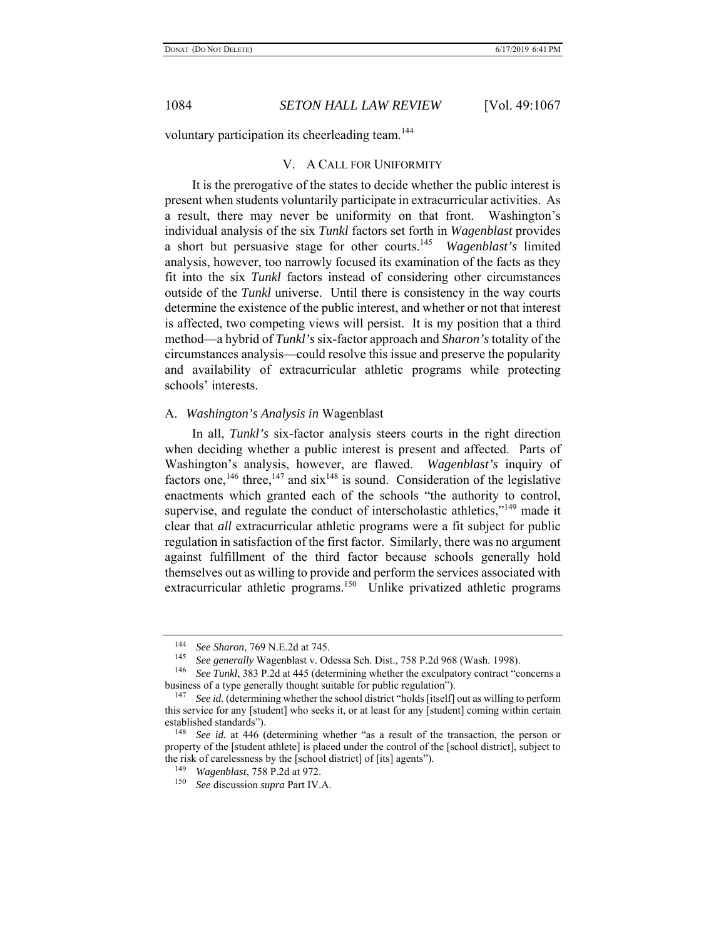voluntary participation its cheerleading team.<sup>144</sup>

#### V. A CALL FOR UNIFORMITY

It is the prerogative of the states to decide whether the public interest is present when students voluntarily participate in extracurricular activities. As a result, there may never be uniformity on that front. Washington's individual analysis of the six *Tunkl* factors set forth in *Wagenblast* provides a short but persuasive stage for other courts.145 *Wagenblast's* limited analysis, however, too narrowly focused its examination of the facts as they fit into the six *Tunkl* factors instead of considering other circumstances outside of the *Tunkl* universe. Until there is consistency in the way courts determine the existence of the public interest, and whether or not that interest is affected, two competing views will persist. It is my position that a third method—a hybrid of *Tunkl's* six-factor approach and *Sharon's* totality of the circumstances analysis—could resolve this issue and preserve the popularity and availability of extracurricular athletic programs while protecting schools' interests.

#### A. *Washington's Analysis in* Wagenblast

In all, *Tunkl's* six-factor analysis steers courts in the right direction when deciding whether a public interest is present and affected. Parts of Washington's analysis, however, are flawed. *Wagenblast's* inquiry of factors one,<sup>146</sup> three,<sup>147</sup> and  $six^{148}$  is sound. Consideration of the legislative enactments which granted each of the schools "the authority to control, supervise, and regulate the conduct of interscholastic athletics,"<sup>149</sup> made it clear that *all* extracurricular athletic programs were a fit subject for public regulation in satisfaction of the first factor. Similarly, there was no argument against fulfillment of the third factor because schools generally hold themselves out as willing to provide and perform the services associated with extracurricular athletic programs.<sup>150</sup> Unlike privatized athletic programs

<sup>144</sup> *See Sharon*, 769 N.E.2d at 745.

<sup>145</sup> *See generally* Wagenblast v. Odessa Sch. Dist., 758 P.2d 968 (Wash. 1998).

<sup>146</sup> *See Tunkl*, 383 P.2d at 445 (determining whether the exculpatory contract "concerns a business of a type generally thought suitable for public regulation").

<sup>&</sup>lt;sup>147</sup> *See id.* (determining whether the school district "holds [itself] out as willing to perform this service for any [student] who seeks it, or at least for any [student] coming within certain established standards").

<sup>148</sup> *See id.* at 446 (determining whether "as a result of the transaction, the person or property of the [student athlete] is placed under the control of the [school district], subject to the risk of carelessness by the [school district] of [its] agents").

<sup>149</sup> *Wagenblast*, 758 P.2d at 972.

<sup>150</sup> *See* discussion *supra* Part IV.A.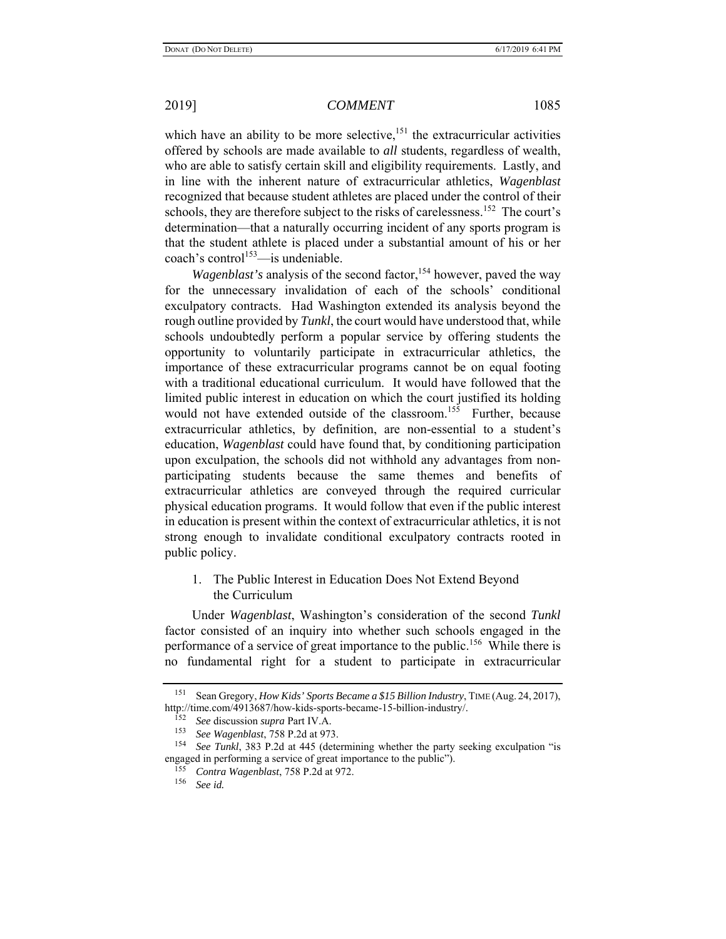which have an ability to be more selective, $151$  the extracurricular activities offered by schools are made available to *all* students, regardless of wealth, who are able to satisfy certain skill and eligibility requirements. Lastly, and in line with the inherent nature of extracurricular athletics, *Wagenblast* recognized that because student athletes are placed under the control of their schools, they are therefore subject to the risks of carelessness.<sup>152</sup> The court's determination—that a naturally occurring incident of any sports program is that the student athlete is placed under a substantial amount of his or her  $\text{coach's control}^{153}$  — is undeniable.

*Wagenblast's* analysis of the second factor,<sup>154</sup> however, paved the way for the unnecessary invalidation of each of the schools' conditional exculpatory contracts. Had Washington extended its analysis beyond the rough outline provided by *Tunkl*, the court would have understood that, while schools undoubtedly perform a popular service by offering students the opportunity to voluntarily participate in extracurricular athletics, the importance of these extracurricular programs cannot be on equal footing with a traditional educational curriculum. It would have followed that the limited public interest in education on which the court justified its holding would not have extended outside of the classroom.<sup>155</sup> Further, because extracurricular athletics, by definition, are non-essential to a student's education, *Wagenblast* could have found that, by conditioning participation upon exculpation, the schools did not withhold any advantages from nonparticipating students because the same themes and benefits of extracurricular athletics are conveyed through the required curricular physical education programs. It would follow that even if the public interest in education is present within the context of extracurricular athletics, it is not strong enough to invalidate conditional exculpatory contracts rooted in public policy.

## 1. The Public Interest in Education Does Not Extend Beyond the Curriculum

Under *Wagenblast*, Washington's consideration of the second *Tunkl* factor consisted of an inquiry into whether such schools engaged in the performance of a service of great importance to the public.<sup>156</sup> While there is no fundamental right for a student to participate in extracurricular

<sup>151</sup> Sean Gregory, *How Kids' Sports Became a \$15 Billion Industry*, TIME (Aug. 24, 2017), http://time.com/4913687/how-kids-sports-became-15-billion-industry/.

<sup>152</sup> *See* discussion *supra* Part IV.A.

<sup>153</sup> *See Wagenblast*, 758 P.2d at 973.

See Tunkl, 383 P.2d at 445 (determining whether the party seeking exculpation "is engaged in performing a service of great importance to the public").

<sup>155</sup> *Contra Wagenblast*, 758 P.2d at 972.

<sup>156</sup> *See id.*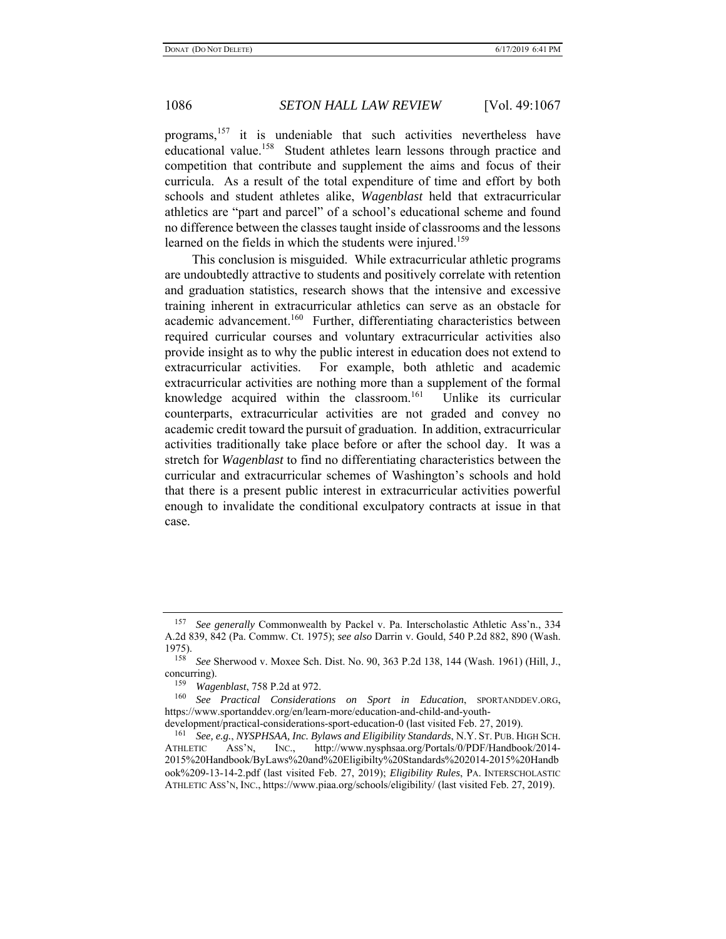programs,<sup>157</sup> it is undeniable that such activities nevertheless have educational value.<sup>158</sup> Student athletes learn lessons through practice and competition that contribute and supplement the aims and focus of their curricula. As a result of the total expenditure of time and effort by both schools and student athletes alike, *Wagenblast* held that extracurricular athletics are "part and parcel" of a school's educational scheme and found no difference between the classes taught inside of classrooms and the lessons learned on the fields in which the students were injured.<sup>159</sup>

This conclusion is misguided. While extracurricular athletic programs are undoubtedly attractive to students and positively correlate with retention and graduation statistics, research shows that the intensive and excessive training inherent in extracurricular athletics can serve as an obstacle for academic advancement.<sup>160</sup> Further, differentiating characteristics between required curricular courses and voluntary extracurricular activities also provide insight as to why the public interest in education does not extend to extracurricular activities. For example, both athletic and academic extracurricular activities are nothing more than a supplement of the formal knowledge acquired within the classroom.<sup>161</sup> Unlike its curricular counterparts, extracurricular activities are not graded and convey no academic credit toward the pursuit of graduation. In addition, extracurricular activities traditionally take place before or after the school day. It was a stretch for *Wagenblast* to find no differentiating characteristics between the curricular and extracurricular schemes of Washington's schools and hold that there is a present public interest in extracurricular activities powerful enough to invalidate the conditional exculpatory contracts at issue in that case.

<sup>157</sup> *See generally* Commonwealth by Packel v. Pa. Interscholastic Athletic Ass'n., 334 A.2d 839, 842 (Pa. Commw. Ct. 1975); *see also* Darrin v. Gould, 540 P.2d 882, 890 (Wash. 1975).

<sup>158</sup> *See* Sherwood v. Moxee Sch. Dist. No. 90, 363 P.2d 138, 144 (Wash. 1961) (Hill, J., concurring).

<sup>159</sup> *Wagenblast*, 758 P.2d at 972.

<sup>160</sup> *See Practical Considerations on Sport in Education*, SPORTANDDEV.ORG, https://www.sportanddev.org/en/learn-more/education-and-child-and-youth-

development/practical-considerations-sport-education-0 (last visited Feb. 27, 2019).

<sup>161</sup> *See, e.g.*, *NYSPHSAA, Inc. Bylaws and Eligibility Standards*, N.Y. ST. PUB. HIGH SCH. ATHLETIC ASS'N, INC., http://www.nysphsaa.org/Portals/0/PDF/Handbook/2014- 2015%20Handbook/ByLaws%20and%20Eligibilty%20Standards%202014-2015%20Handb ook%209-13-14-2.pdf (last visited Feb. 27, 2019); *Eligibility Rules*, PA. INTERSCHOLASTIC ATHLETIC ASS'N, INC., https://www.piaa.org/schools/eligibility/ (last visited Feb. 27, 2019).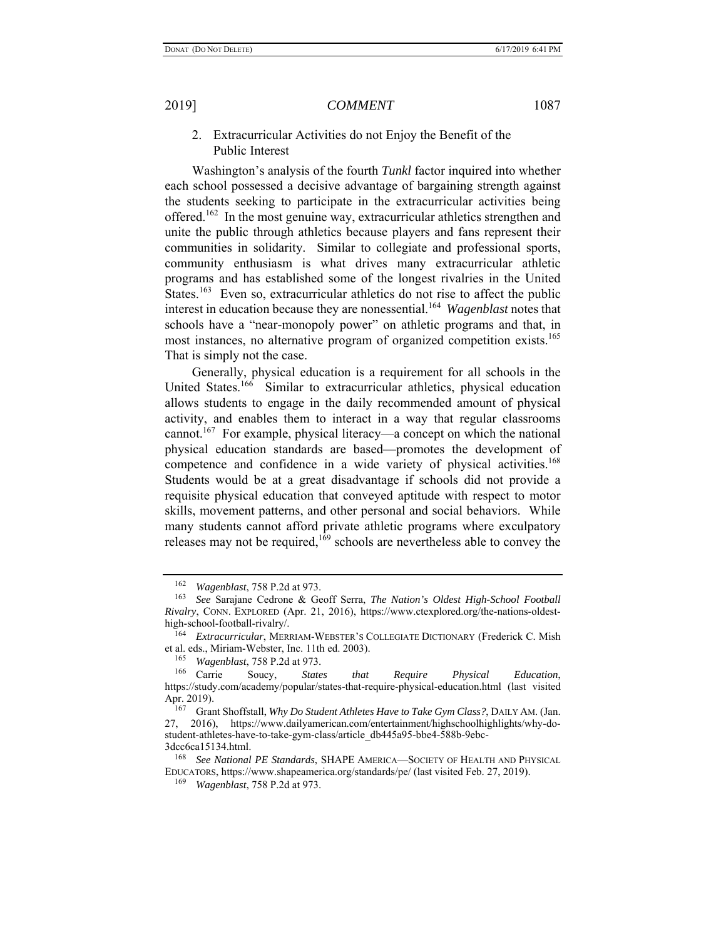2. Extracurricular Activities do not Enjoy the Benefit of the Public Interest

Washington's analysis of the fourth *Tunkl* factor inquired into whether each school possessed a decisive advantage of bargaining strength against the students seeking to participate in the extracurricular activities being offered.<sup>162</sup> In the most genuine way, extracurricular athletics strengthen and unite the public through athletics because players and fans represent their communities in solidarity. Similar to collegiate and professional sports, community enthusiasm is what drives many extracurricular athletic programs and has established some of the longest rivalries in the United States.<sup>163</sup> Even so, extracurricular athletics do not rise to affect the public interest in education because they are nonessential.164 *Wagenblast* notes that schools have a "near-monopoly power" on athletic programs and that, in most instances, no alternative program of organized competition exists.<sup>165</sup> That is simply not the case.

Generally, physical education is a requirement for all schools in the United States.<sup>166</sup> Similar to extracurricular athletics, physical education allows students to engage in the daily recommended amount of physical activity, and enables them to interact in a way that regular classrooms cannot.<sup>167</sup> For example, physical literacy—a concept on which the national physical education standards are based—promotes the development of competence and confidence in a wide variety of physical activities.<sup>168</sup> Students would be at a great disadvantage if schools did not provide a requisite physical education that conveyed aptitude with respect to motor skills, movement patterns, and other personal and social behaviors. While many students cannot afford private athletic programs where exculpatory releases may not be required,<sup>169</sup> schools are nevertheless able to convey the

<sup>162</sup> *Wagenblast*, 758 P.2d at 973.

<sup>163</sup> *See* Sarajane Cedrone & Geoff Serra, *The Nation's Oldest High-School Football Rivalry*, CONN. EXPLORED (Apr. 21, 2016), https://www.ctexplored.org/the-nations-oldesthigh-school-football-rivalry/.

<sup>164</sup> *Extracurricular*, MERRIAM-WEBSTER'S COLLEGIATE DICTIONARY (Frederick C. Mish et al. eds., Miriam-Webster, Inc. 11th ed. 2003).

<sup>165</sup> *Wagenblast*, 758 P.2d at 973.

<sup>166</sup> Carrie Soucy, *States that Require Physical Education*, https://study.com/academy/popular/states-that-require-physical-education.html (last visited Apr. 2019).

<sup>167</sup> Grant Shoffstall, *Why Do Student Athletes Have to Take Gym Class?*, DAILY AM. (Jan. 27, 2016), https://www.dailyamerican.com/entertainment/highschoolhighlights/why-dostudent-athletes-have-to-take-gym-class/article\_db445a95-bbe4-588b-9ebc-3dcc6ca15134.html.

<sup>168</sup> *See National PE Standards*, SHAPE AMERICA—SOCIETY OF HEALTH AND PHYSICAL EDUCATORS, https://www.shapeamerica.org/standards/pe/ (last visited Feb. 27, 2019).

<sup>169</sup> *Wagenblast*, 758 P.2d at 973.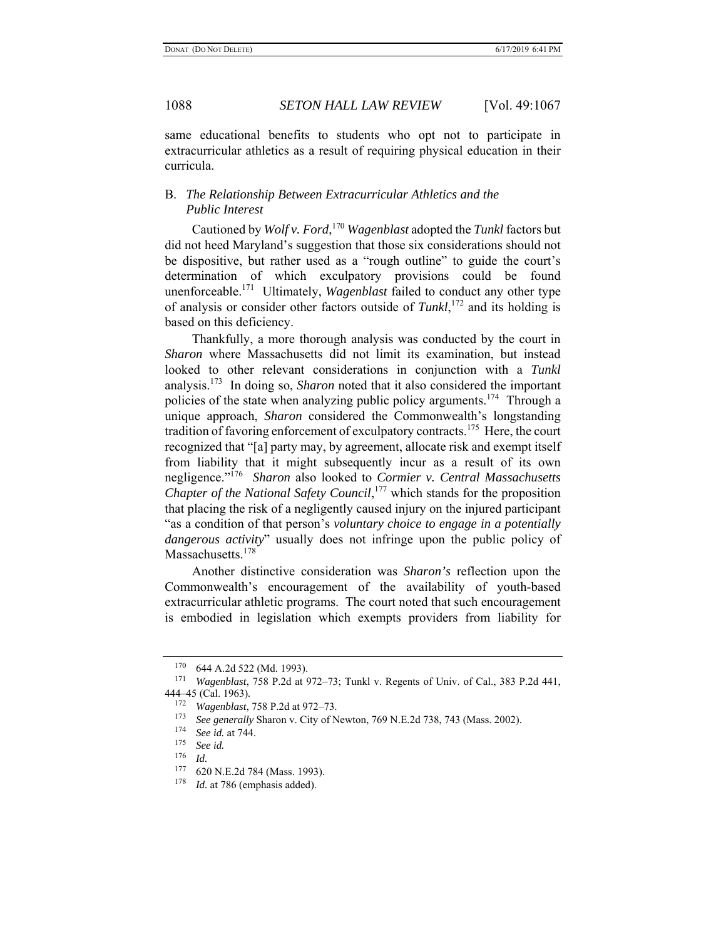same educational benefits to students who opt not to participate in extracurricular athletics as a result of requiring physical education in their curricula.

## B. *The Relationship Between Extracurricular Athletics and the Public Interest*

Cautioned by *Wolf v. Ford*, <sup>170</sup> *Wagenblast* adopted the *Tunkl* factors but did not heed Maryland's suggestion that those six considerations should not be dispositive, but rather used as a "rough outline" to guide the court's determination of which exculpatory provisions could be found unenforceable.171 Ultimately, *Wagenblast* failed to conduct any other type of analysis or consider other factors outside of *Tunkl*, 172 and its holding is based on this deficiency.

Thankfully, a more thorough analysis was conducted by the court in *Sharon* where Massachusetts did not limit its examination, but instead looked to other relevant considerations in conjunction with a *Tunkl* analysis.173 In doing so, *Sharon* noted that it also considered the important policies of the state when analyzing public policy arguments.174 Through a unique approach, *Sharon* considered the Commonwealth's longstanding tradition of favoring enforcement of exculpatory contracts.<sup>175</sup> Here, the court recognized that "[a] party may, by agreement, allocate risk and exempt itself from liability that it might subsequently incur as a result of its own negligence."176 *Sharon* also looked to *Cormier v. Central Massachusetts Chapter of the National Safety Council*, 177 which stands for the proposition that placing the risk of a negligently caused injury on the injured participant "as a condition of that person's *voluntary choice to engage in a potentially dangerous activity*" usually does not infringe upon the public policy of Massachusetts.<sup>178</sup>

Another distinctive consideration was *Sharon's* reflection upon the Commonwealth's encouragement of the availability of youth-based extracurricular athletic programs. The court noted that such encouragement is embodied in legislation which exempts providers from liability for

 $^{170}$  644 A.2d 522 (Md. 1993).

<sup>171</sup> *Wagenblast*, 758 P.2d at 972–73; Tunkl v. Regents of Univ. of Cal., 383 P.2d 441, 444–45 (Cal. 1963)*.* 

<sup>172</sup> *Wagenblast*, 758 P.2d at 972–73.

<sup>&</sup>lt;sup>173</sup> *See generally* Sharon v. City of Newton, 769 N.E.2d 738, 743 (Mass. 2002).

<sup>174</sup> *See id.* at 744.

See id.

 $\frac{176}{177}$  *Id.* 

 $^{177}$  620 N.E.2d 784 (Mass. 1993).<br> $^{178}$  *Id at 786 (emphasis added)* 

*Id.* at 786 (emphasis added).